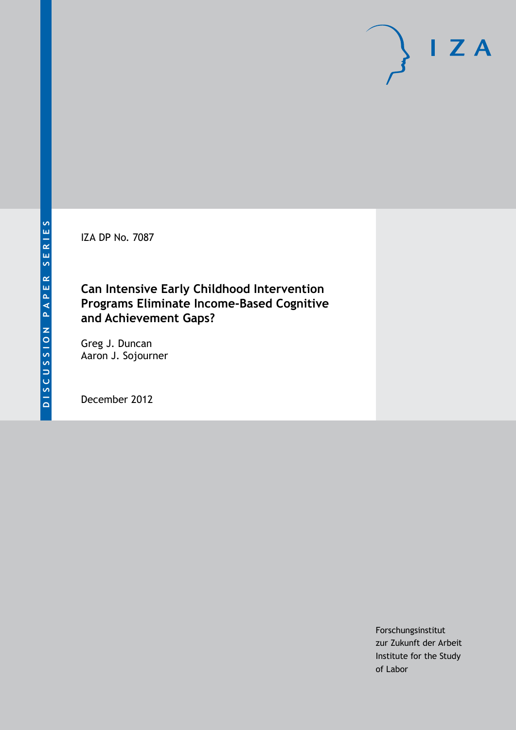IZA DP No. 7087

## **Can Intensive Early Childhood Intervention Programs Eliminate Income-Based Cognitive and Achievement Gaps?**

Greg J. Duncan Aaron J. Sojourner

December 2012

Forschungsinstitut zur Zukunft der Arbeit Institute for the Study of Labor

 $I Z A$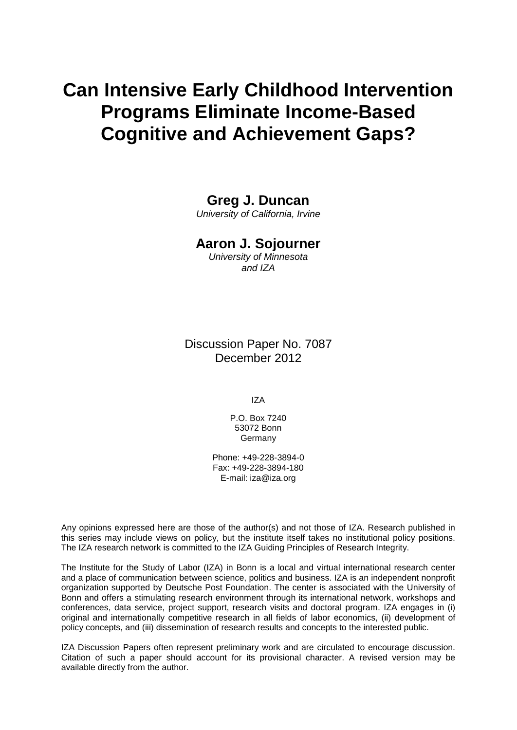# **Can Intensive Early Childhood Intervention Programs Eliminate Income-Based Cognitive and Achievement Gaps?**

## **Greg J. Duncan**

*University of California, Irvine*

### **Aaron J. Sojourner**

*University of Minnesota and IZA*

Discussion Paper No. 7087 December 2012

IZA

P.O. Box 7240 53072 Bonn Germany

Phone: +49-228-3894-0 Fax: +49-228-3894-180 E-mail: [iza@iza.org](mailto:iza@iza.org)

Any opinions expressed here are those of the author(s) and not those of IZA. Research published in this series may include views on policy, but the institute itself takes no institutional policy positions. The IZA research network is committed to the IZA Guiding Principles of Research Integrity.

<span id="page-1-0"></span>The Institute for the Study of Labor (IZA) in Bonn is a local and virtual international research center and a place of communication between science, politics and business. IZA is an independent nonprofit organization supported by Deutsche Post Foundation. The center is associated with the University of Bonn and offers a stimulating research environment through its international network, workshops and conferences, data service, project support, research visits and doctoral program. IZA engages in (i) original and internationally competitive research in all fields of labor economics, (ii) development of policy concepts, and (iii) dissemination of research results and concepts to the interested public.

IZA Discussion Papers often represent preliminary work and are circulated to encourage discussion. Citation of such a paper should account for its provisional character. A revised version may be available directly from the author.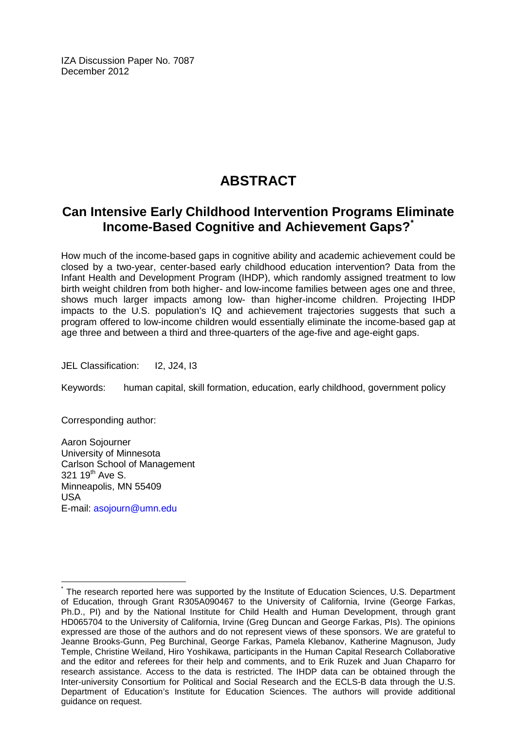IZA Discussion Paper No. 7087 December 2012

## **ABSTRACT**

## **Can Intensive Early Childhood Intervention Programs Eliminate Income-Based Cognitive and Achievement Gaps?[\\*](#page-1-0)**

How much of the income-based gaps in cognitive ability and academic achievement could be closed by a two-year, center-based early childhood education intervention? Data from the Infant Health and Development Program (IHDP), which randomly assigned treatment to low birth weight children from both higher- and low-income families between ages one and three, shows much larger impacts among low- than higher-income children. Projecting IHDP impacts to the U.S. population's IQ and achievement trajectories suggests that such a program offered to low-income children would essentially eliminate the income-based gap at age three and between a third and three-quarters of the age-five and age-eight gaps.

JEL Classification: I2, J24, I3

Keywords: human capital, skill formation, education, early childhood, government policy

Corresponding author:

Aaron Sojourner University of Minnesota Carlson School of Management  $321$  19<sup>th</sup> Ave S. Minneapolis, MN 55409 USA E-mail: [asojourn@umn.edu](mailto:asojourn@umn.edu)

The research reported here was supported by the Institute of Education Sciences, U.S. Department of Education, through Grant R305A090467 to the University of California, Irvine (George Farkas, Ph.D., PI) and by the National Institute for Child Health and Human Development, through grant HD065704 to the University of California, Irvine (Greg Duncan and George Farkas, PIs). The opinions expressed are those of the authors and do not represent views of these sponsors. We are grateful to Jeanne Brooks-Gunn, Peg Burchinal, George Farkas, Pamela Klebanov, Katherine Magnuson, Judy Temple, Christine Weiland, Hiro Yoshikawa, participants in the Human Capital Research Collaborative and the editor and referees for their help and comments, and to Erik Ruzek and Juan Chaparro for research assistance. Access to the data is restricted. The IHDP data can be obtained through the Inter-university Consortium for Political and Social Research and the ECLS-B data through the U.S. Department of Education's Institute for Education Sciences. The authors will provide additional guidance on request.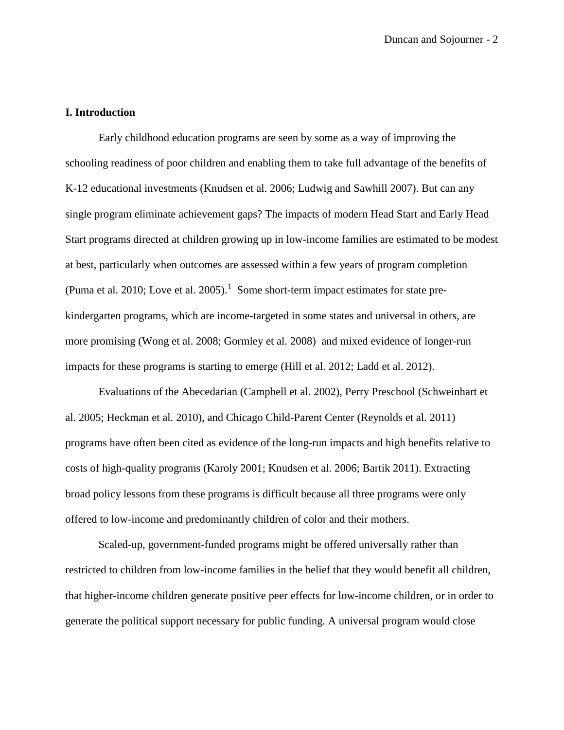#### **I. Introduction**

Early childhood education programs are seen by some as a way of improving the schooling readiness of poor children and enabling them to take full advantage of the benefits of K-12 educational investments (Knudsen et al. 2006; Ludwig and Sawhill 2007). But can any single program eliminate achievement gaps? The impacts of modern Head Start and Early Head Start programs directed at children growing up in low-income families are estimated to be modest at best, particularly when outcomes are assessed within a few years of program completion (Puma et al. 20[1](#page-42-0)0; Love et al. 2005).<sup>1</sup> Some short-term impact estimates for state prekindergarten programs, which are income-targeted in some states and universal in others, are more promising (Wong et al. 2008; Gormley et al. 2008) and mixed evidence of longer-run impacts for these programs is starting to emerge (Hill et al. 2012; Ladd et al. 2012).

Evaluations of the Abecedarian (Campbell et al. 2002), Perry Preschool (Schweinhart et al. 2005; Heckman et al. 2010), and Chicago Child-Parent Center (Reynolds et al. 2011) programs have often been cited as evidence of the long-run impacts and high benefits relative to costs of high-quality programs (Karoly 2001; Knudsen et al. 2006; Bartik 2011). Extracting broad policy lessons from these programs is difficult because all three programs were only offered to low-income and predominantly children of color and their mothers.

Scaled-up, government-funded programs might be offered universally rather than restricted to children from low-income families in the belief that they would benefit all children, that higher-income children generate positive peer effects for low-income children, or in order to generate the political support necessary for public funding. A universal program would close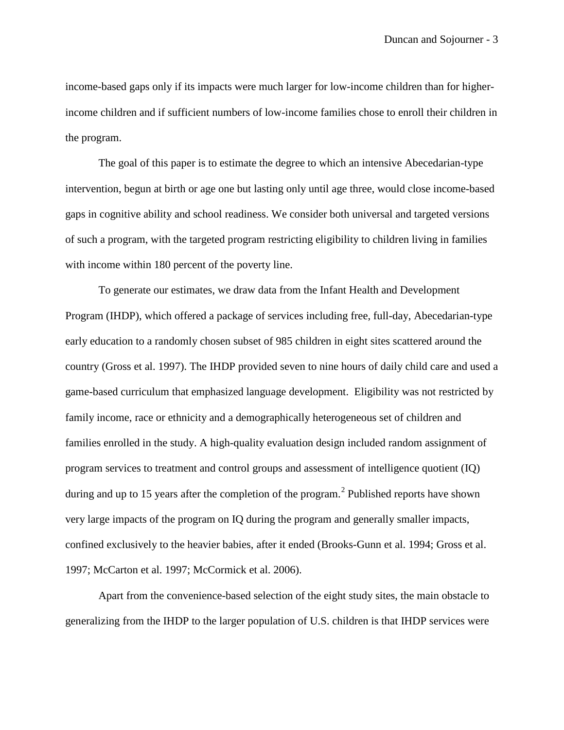income-based gaps only if its impacts were much larger for low-income children than for higherincome children and if sufficient numbers of low-income families chose to enroll their children in the program.

The goal of this paper is to estimate the degree to which an intensive Abecedarian-type intervention, begun at birth or age one but lasting only until age three, would close income-based gaps in cognitive ability and school readiness. We consider both universal and targeted versions of such a program, with the targeted program restricting eligibility to children living in families with income within 180 percent of the poverty line.

To generate our estimates, we draw data from the Infant Health and Development Program (IHDP), which offered a package of services including free, full-day, Abecedarian-type early education to a randomly chosen subset of 985 children in eight sites scattered around the country (Gross et al. 1997). The IHDP provided seven to nine hours of daily child care and used a game-based curriculum that emphasized language development. Eligibility was not restricted by family income, race or ethnicity and a demographically heterogeneous set of children and families enrolled in the study. A high-quality evaluation design included random assignment of program services to treatment and control groups and assessment of intelligence quotient (IQ) during and up to 15 years after the completion of the program.<sup>[2](#page-42-1)</sup> Published reports have shown very large impacts of the program on IQ during the program and generally smaller impacts, confined exclusively to the heavier babies, after it ended (Brooks-Gunn et al. 1994; Gross et al. 1997; McCarton et al. 1997; McCormick et al. 2006).

Apart from the convenience-based selection of the eight study sites, the main obstacle to generalizing from the IHDP to the larger population of U.S. children is that IHDP services were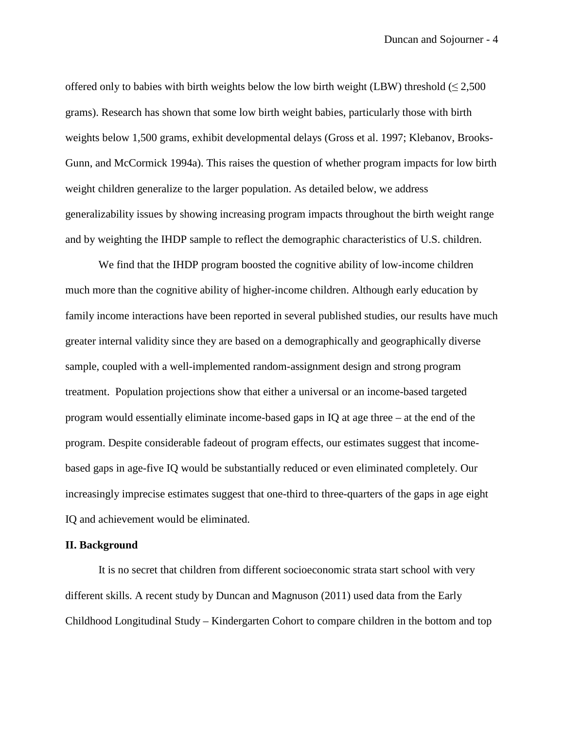offered only to babies with birth weights below the low birth weight (LBW) threshold ( $\leq 2,500$ grams). Research has shown that some low birth weight babies, particularly those with birth weights below 1,500 grams, exhibit developmental delays (Gross et al. 1997; Klebanov, Brooks-Gunn, and McCormick 1994a). This raises the question of whether program impacts for low birth weight children generalize to the larger population. As detailed below, we address generalizability issues by showing increasing program impacts throughout the birth weight range and by weighting the IHDP sample to reflect the demographic characteristics of U.S. children.

We find that the IHDP program boosted the cognitive ability of low-income children much more than the cognitive ability of higher-income children. Although early education by family income interactions have been reported in several published studies, our results have much greater internal validity since they are based on a demographically and geographically diverse sample, coupled with a well-implemented random-assignment design and strong program treatment. Population projections show that either a universal or an income-based targeted program would essentially eliminate income-based gaps in IQ at age three – at the end of the program. Despite considerable fadeout of program effects, our estimates suggest that incomebased gaps in age-five IQ would be substantially reduced or even eliminated completely. Our increasingly imprecise estimates suggest that one-third to three-quarters of the gaps in age eight IQ and achievement would be eliminated.

#### **II. Background**

It is no secret that children from different socioeconomic strata start school with very different skills. A recent study by Duncan and Magnuson (2011) used data from the Early Childhood Longitudinal Study – Kindergarten Cohort to compare children in the bottom and top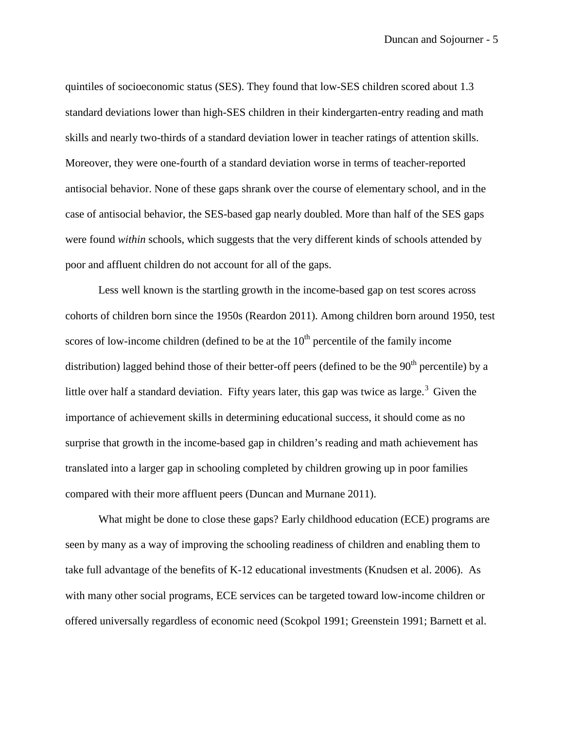quintiles of socioeconomic status (SES). They found that low-SES children scored about 1.3 standard deviations lower than high-SES children in their kindergarten-entry reading and math skills and nearly two-thirds of a standard deviation lower in teacher ratings of attention skills. Moreover, they were one-fourth of a standard deviation worse in terms of teacher-reported antisocial behavior. None of these gaps shrank over the course of elementary school, and in the case of antisocial behavior, the SES-based gap nearly doubled. More than half of the SES gaps were found *within* schools, which suggests that the very different kinds of schools attended by poor and affluent children do not account for all of the gaps.

Less well known is the startling growth in the income-based gap on test scores across cohorts of children born since the 1950s (Reardon 2011). Among children born around 1950, test scores of low-income children (defined to be at the  $10<sup>th</sup>$  percentile of the family income distribution) lagged behind those of their better-off peers (defined to be the  $90<sup>th</sup>$  percentile) by a little over half a standard deviation. Fifty years later, this gap was twice as large.<sup>[3](#page-42-2)</sup> Given the importance of achievement skills in determining educational success, it should come as no surprise that growth in the income-based gap in children's reading and math achievement has translated into a larger gap in schooling completed by children growing up in poor families compared with their more affluent peers (Duncan and Murnane 2011).

What might be done to close these gaps? Early childhood education (ECE) programs are seen by many as a way of improving the schooling readiness of children and enabling them to take full advantage of the benefits of K-12 educational investments (Knudsen et al. 2006). As with many other social programs, ECE services can be targeted toward low-income children or offered universally regardless of economic need (Scokpol 1991; Greenstein 1991; Barnett et al.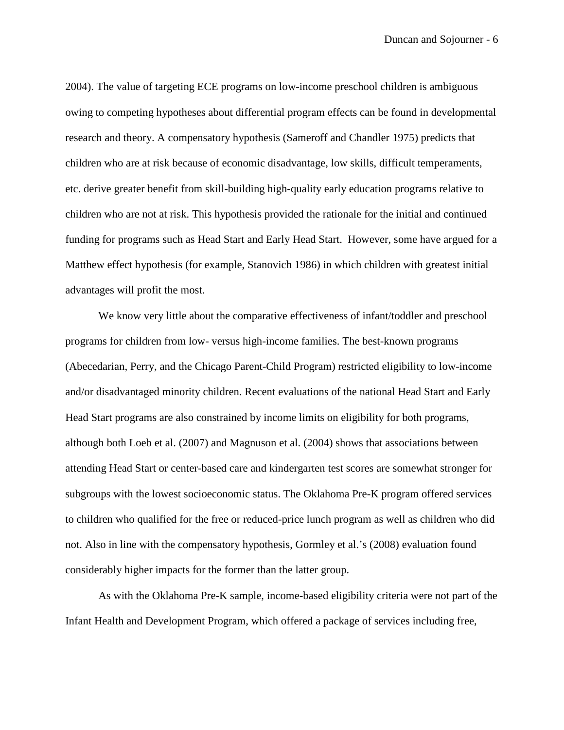2004). The value of targeting ECE programs on low-income preschool children is ambiguous owing to competing hypotheses about differential program effects can be found in developmental research and theory. A compensatory hypothesis (Sameroff and Chandler 1975) predicts that children who are at risk because of economic disadvantage, low skills, difficult temperaments, etc. derive greater benefit from skill-building high-quality early education programs relative to children who are not at risk. This hypothesis provided the rationale for the initial and continued funding for programs such as Head Start and Early Head Start. However, some have argued for a Matthew effect hypothesis (for example, Stanovich 1986) in which children with greatest initial advantages will profit the most.

We know very little about the comparative effectiveness of infant/toddler and preschool programs for children from low- versus high-income families. The best-known programs (Abecedarian, Perry, and the Chicago Parent-Child Program) restricted eligibility to low-income and/or disadvantaged minority children. Recent evaluations of the national Head Start and Early Head Start programs are also constrained by income limits on eligibility for both programs, although both Loeb et al. (2007) and Magnuson et al. (2004) shows that associations between attending Head Start or center-based care and kindergarten test scores are somewhat stronger for subgroups with the lowest socioeconomic status. The Oklahoma Pre-K program offered services to children who qualified for the free or reduced-price lunch program as well as children who did not. Also in line with the compensatory hypothesis, Gormley et al.'s (2008) evaluation found considerably higher impacts for the former than the latter group.

As with the Oklahoma Pre-K sample, income-based eligibility criteria were not part of the Infant Health and Development Program, which offered a package of services including free,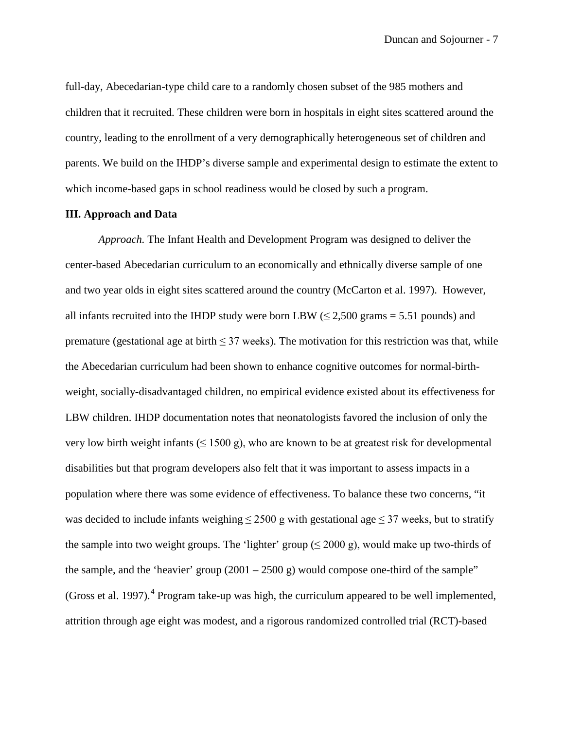full-day, Abecedarian-type child care to a randomly chosen subset of the 985 mothers and children that it recruited. These children were born in hospitals in eight sites scattered around the country, leading to the enrollment of a very demographically heterogeneous set of children and parents. We build on the IHDP's diverse sample and experimental design to estimate the extent to which income-based gaps in school readiness would be closed by such a program.

#### **III. Approach and Data**

*Approach.* The Infant Health and Development Program was designed to deliver the center-based Abecedarian curriculum to an economically and ethnically diverse sample of one and two year olds in eight sites scattered around the country (McCarton et al. 1997). However, all infants recruited into the IHDP study were born LBW ( $\leq$  2,500 grams = 5.51 pounds) and premature (gestational age at birth  $\leq$  37 weeks). The motivation for this restriction was that, while the Abecedarian curriculum had been shown to enhance cognitive outcomes for normal-birthweight, socially-disadvantaged children, no empirical evidence existed about its effectiveness for LBW children. IHDP documentation notes that neonatologists favored the inclusion of only the very low birth weight infants ( $\leq 1500$  g), who are known to be at greatest risk for developmental disabilities but that program developers also felt that it was important to assess impacts in a population where there was some evidence of effectiveness. To balance these two concerns, "it was decided to include infants weighing  $\leq$  2500 g with gestational age  $\leq$  37 weeks, but to stratify the sample into two weight groups. The 'lighter' group  $(\leq 2000 \text{ g})$ , would make up two-thirds of the sample, and the 'heavier' group  $(2001 - 2500)$  g) would compose one-third of the sample" (Gross et al. 1997).<sup>[4](#page-42-3)</sup> Program take-up was high, the curriculum appeared to be well implemented, attrition through age eight was modest, and a rigorous randomized controlled trial (RCT)-based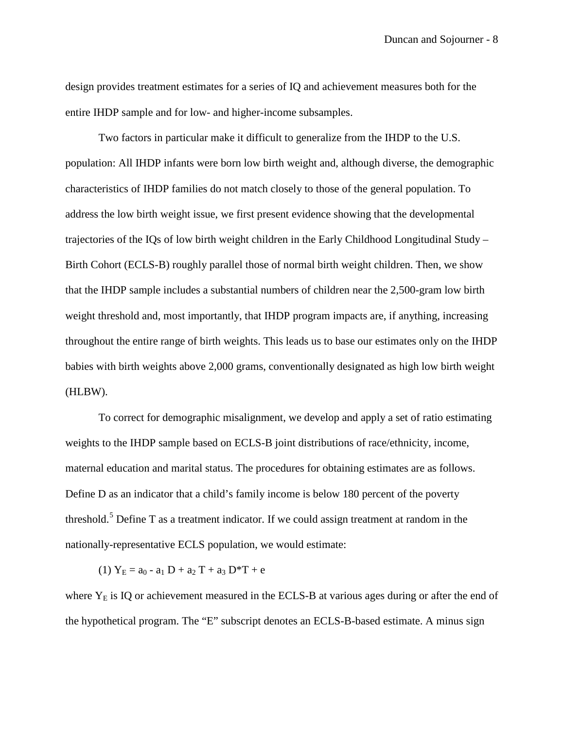design provides treatment estimates for a series of IQ and achievement measures both for the entire IHDP sample and for low- and higher-income subsamples.

Two factors in particular make it difficult to generalize from the IHDP to the U.S. population: All IHDP infants were born low birth weight and, although diverse, the demographic characteristics of IHDP families do not match closely to those of the general population. To address the low birth weight issue, we first present evidence showing that the developmental trajectories of the IQs of low birth weight children in the Early Childhood Longitudinal Study – Birth Cohort (ECLS-B) roughly parallel those of normal birth weight children. Then, we show that the IHDP sample includes a substantial numbers of children near the 2,500-gram low birth weight threshold and, most importantly, that IHDP program impacts are, if anything, increasing throughout the entire range of birth weights. This leads us to base our estimates only on the IHDP babies with birth weights above 2,000 grams, conventionally designated as high low birth weight (HLBW).

To correct for demographic misalignment, we develop and apply a set of ratio estimating weights to the IHDP sample based on ECLS-B joint distributions of race/ethnicity, income, maternal education and marital status. The procedures for obtaining estimates are as follows. Define D as an indicator that a child's family income is below 180 percent of the poverty threshold.<sup>[5](#page-42-4)</sup> Define T as a treatment indicator. If we could assign treatment at random in the nationally-representative ECLS population, we would estimate:

(1)  $Y_E = a_0 - a_1 D + a_2 T + a_3 D^* T + e$ 

where  $Y<sub>E</sub>$  is IQ or achievement measured in the ECLS-B at various ages during or after the end of the hypothetical program. The "E" subscript denotes an ECLS-B-based estimate. A minus sign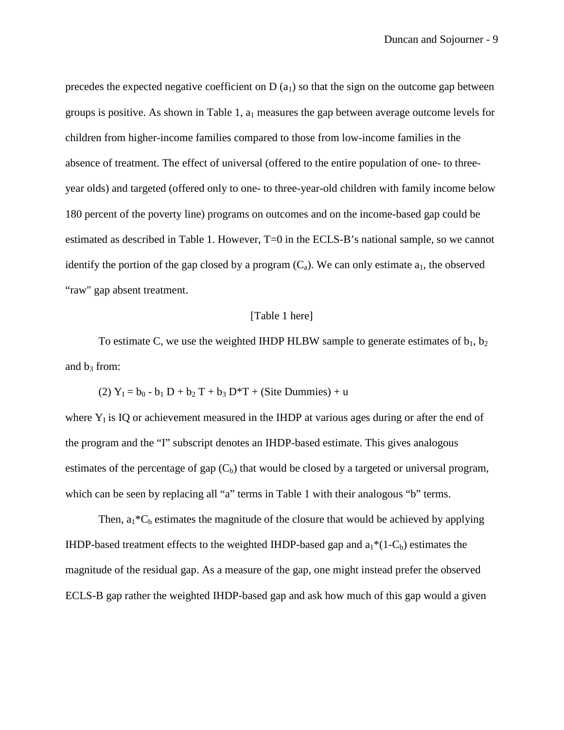precedes the expected negative coefficient on  $D(a_1)$  so that the sign on the outcome gap between groups is positive. As shown in Table 1,  $a_1$  measures the gap between average outcome levels for children from higher-income families compared to those from low-income families in the absence of treatment. The effect of universal (offered to the entire population of one- to threeyear olds) and targeted (offered only to one- to three-year-old children with family income below 180 percent of the poverty line) programs on outcomes and on the income-based gap could be estimated as described in Table 1. However, T=0 in the ECLS-B's national sample, so we cannot identify the portion of the gap closed by a program  $(C_a)$ . We can only estimate  $a_1$ , the observed "raw" gap absent treatment.

#### [Table 1 here]

To estimate C, we use the weighted IHDP HLBW sample to generate estimates of  $b_1$ ,  $b_2$ and  $b_3$  from:

(2)  $Y_1 = b_0 - b_1 D + b_2 T + b_3 D^* T +$  (Site Dummies) + u

where  $Y<sub>I</sub>$  is IQ or achievement measured in the IHDP at various ages during or after the end of the program and the "I" subscript denotes an IHDP-based estimate. This gives analogous estimates of the percentage of gap  $(C_b)$  that would be closed by a targeted or universal program, which can be seen by replacing all "a" terms in Table 1 with their analogous "b" terms.

Then,  $a_1*C_b$  estimates the magnitude of the closure that would be achieved by applying IHDP-based treatment effects to the weighted IHDP-based gap and  $a_1^*(1-C_b)$  estimates the magnitude of the residual gap. As a measure of the gap, one might instead prefer the observed ECLS-B gap rather the weighted IHDP-based gap and ask how much of this gap would a given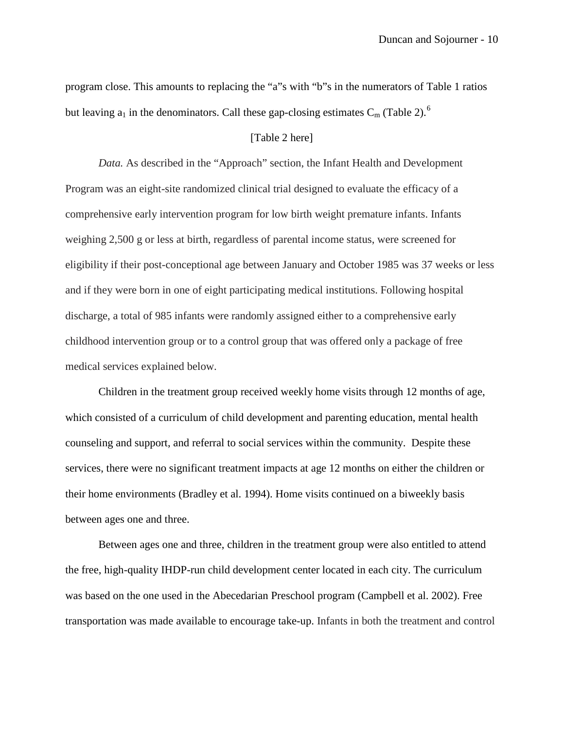program close. This amounts to replacing the "a"s with "b"s in the numerators of Table 1 ratios but leaving  $a_1$  in the denominators. Call these gap-closing estimates  $C_m$  (Table 2).<sup>[6](#page-42-5)</sup>

#### [Table 2 here]

*Data.* As described in the "Approach" section, the Infant Health and Development Program was an eight-site randomized clinical trial designed to evaluate the efficacy of a comprehensive early intervention program for low birth weight premature infants. Infants weighing 2,500 g or less at birth, regardless of parental income status, were screened for eligibility if their post-conceptional age between January and October 1985 was 37 weeks or less and if they were born in one of eight participating medical institutions. Following hospital discharge, a total of 985 infants were randomly assigned either to a comprehensive early childhood intervention group or to a control group that was offered only a package of free medical services explained below.

Children in the treatment group received weekly home visits through 12 months of age, which consisted of a curriculum of child development and parenting education, mental health counseling and support, and referral to social services within the community. Despite these services, there were no significant treatment impacts at age 12 months on either the children or their home environments (Bradley et al. 1994). Home visits continued on a biweekly basis between ages one and three.

Between ages one and three, children in the treatment group were also entitled to attend the free, high-quality IHDP-run child development center located in each city. The curriculum was based on the one used in the Abecedarian Preschool program (Campbell et al. 2002). Free transportation was made available to encourage take-up. Infants in both the treatment and control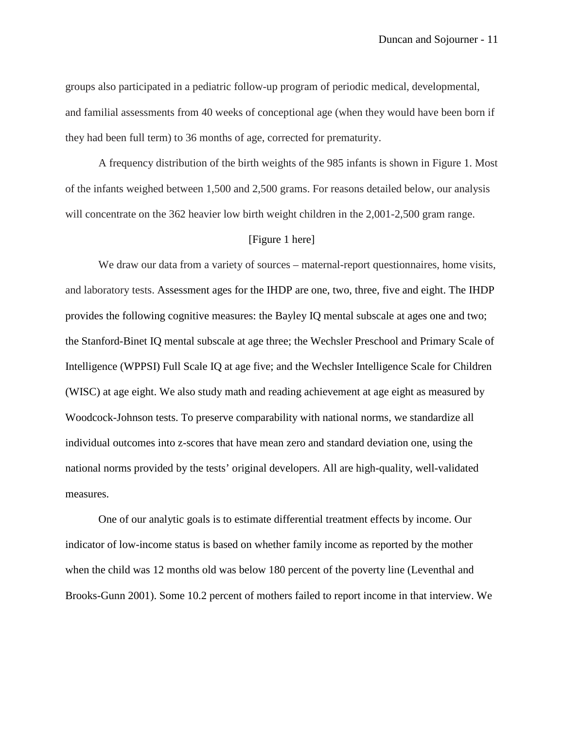groups also participated in a pediatric follow-up program of periodic medical, developmental, and familial assessments from 40 weeks of conceptional age (when they would have been born if they had been full term) to 36 months of age, corrected for prematurity.

A frequency distribution of the birth weights of the 985 infants is shown in Figure 1. Most of the infants weighed between 1,500 and 2,500 grams. For reasons detailed below, our analysis will concentrate on the 362 heavier low birth weight children in the 2,001-2,500 gram range.

#### [Figure 1 here]

We draw our data from a variety of sources – maternal-report questionnaires, home visits, and laboratory tests. Assessment ages for the IHDP are one, two, three, five and eight. The IHDP provides the following cognitive measures: the Bayley IQ mental subscale at ages one and two; the Stanford-Binet IQ mental subscale at age three; the Wechsler Preschool and Primary Scale of Intelligence (WPPSI) Full Scale IQ at age five; and the Wechsler Intelligence Scale for Children (WISC) at age eight. We also study math and reading achievement at age eight as measured by Woodcock-Johnson tests. To preserve comparability with national norms, we standardize all individual outcomes into z-scores that have mean zero and standard deviation one, using the national norms provided by the tests' original developers. All are high-quality, well-validated measures.

One of our analytic goals is to estimate differential treatment effects by income. Our indicator of low-income status is based on whether family income as reported by the mother when the child was 12 months old was below 180 percent of the poverty line (Leventhal and Brooks-Gunn 2001). Some 10.2 percent of mothers failed to report income in that interview. We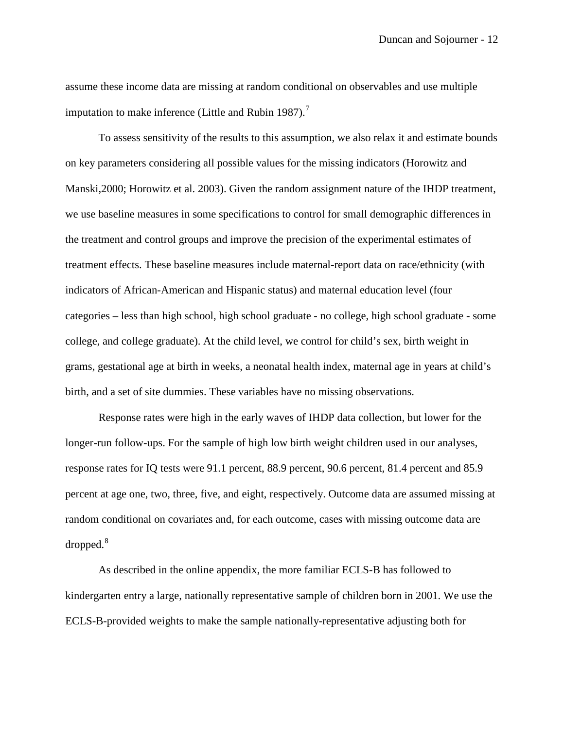assume these income data are missing at random conditional on observables and use multiple imputation to make inference (Little and Rubin 198[7](#page-43-0)).<sup>7</sup>

To assess sensitivity of the results to this assumption, we also relax it and estimate bounds on key parameters considering all possible values for the missing indicators (Horowitz and Manski,2000; Horowitz et al. 2003). Given the random assignment nature of the IHDP treatment, we use baseline measures in some specifications to control for small demographic differences in the treatment and control groups and improve the precision of the experimental estimates of treatment effects. These baseline measures include maternal-report data on race/ethnicity (with indicators of African-American and Hispanic status) and maternal education level (four categories – less than high school, high school graduate - no college, high school graduate - some college, and college graduate). At the child level, we control for child's sex, birth weight in grams, gestational age at birth in weeks, a neonatal health index, maternal age in years at child's birth, and a set of site dummies. These variables have no missing observations.

Response rates were high in the early waves of IHDP data collection, but lower for the longer-run follow-ups. For the sample of high low birth weight children used in our analyses, response rates for IQ tests were 91.1 percent, 88.9 percent, 90.6 percent, 81.4 percent and 85.9 percent at age one, two, three, five, and eight, respectively. Outcome data are assumed missing at random conditional on covariates and, for each outcome, cases with missing outcome data are  $\alpha$ dropped. $\alpha$ <sup>[8](#page-43-1)</sup>

As described in the online appendix, the more familiar ECLS-B has followed to kindergarten entry a large, nationally representative sample of children born in 2001. We use the ECLS-B-provided weights to make the sample nationally-representative adjusting both for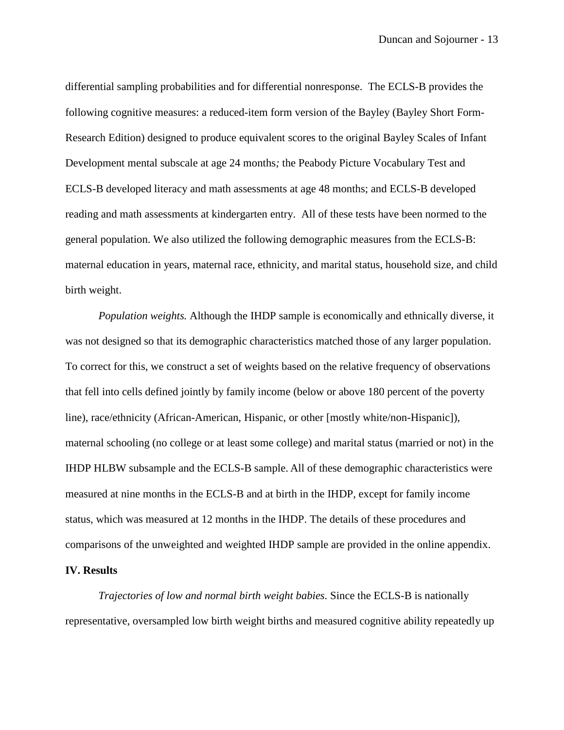differential sampling probabilities and for differential nonresponse. The ECLS-B provides the following cognitive measures: a reduced-item form version of the Bayley (Bayley Short Form-Research Edition) designed to produce equivalent scores to the original Bayley Scales of Infant Development mental subscale at age 24 months*;* the Peabody Picture Vocabulary Test and ECLS-B developed literacy and math assessments at age 48 months; and ECLS-B developed reading and math assessments at kindergarten entry. All of these tests have been normed to the general population. We also utilized the following demographic measures from the ECLS-B: maternal education in years, maternal race, ethnicity, and marital status, household size, and child birth weight.

*Population weights.* Although the IHDP sample is economically and ethnically diverse, it was not designed so that its demographic characteristics matched those of any larger population. To correct for this, we construct a set of weights based on the relative frequency of observations that fell into cells defined jointly by family income (below or above 180 percent of the poverty line), race/ethnicity (African-American, Hispanic, or other [mostly white/non-Hispanic]), maternal schooling (no college or at least some college) and marital status (married or not) in the IHDP HLBW subsample and the ECLS-B sample. All of these demographic characteristics were measured at nine months in the ECLS-B and at birth in the IHDP, except for family income status, which was measured at 12 months in the IHDP. The details of these procedures and comparisons of the unweighted and weighted IHDP sample are provided in the online appendix.

#### **IV. Results**

*Trajectories of low and normal birth weight babies*. Since the ECLS-B is nationally representative, oversampled low birth weight births and measured cognitive ability repeatedly up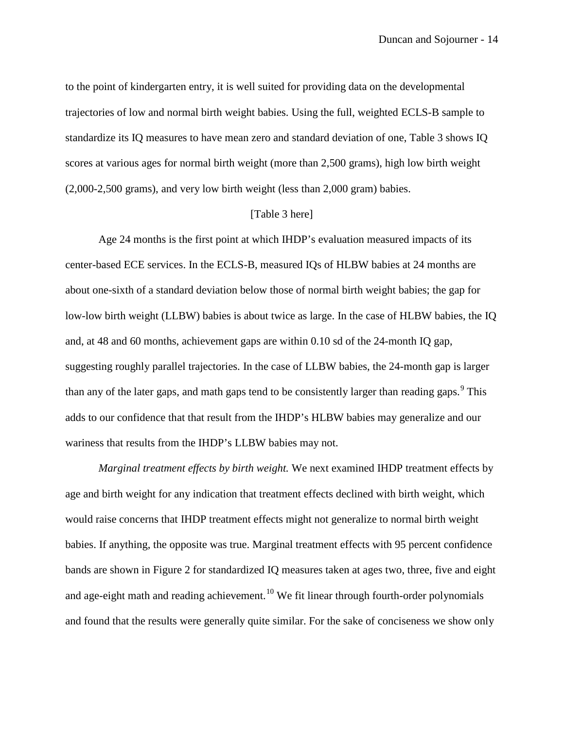to the point of kindergarten entry, it is well suited for providing data on the developmental trajectories of low and normal birth weight babies. Using the full, weighted ECLS-B sample to standardize its IQ measures to have mean zero and standard deviation of one, Table 3 shows IQ scores at various ages for normal birth weight (more than 2,500 grams), high low birth weight (2,000-2,500 grams), and very low birth weight (less than 2,000 gram) babies.

#### [Table 3 here]

Age 24 months is the first point at which IHDP's evaluation measured impacts of its center-based ECE services. In the ECLS-B, measured IQs of HLBW babies at 24 months are about one-sixth of a standard deviation below those of normal birth weight babies; the gap for low-low birth weight (LLBW) babies is about twice as large. In the case of HLBW babies, the IQ and, at 48 and 60 months, achievement gaps are within 0.10 sd of the 24-month IQ gap, suggesting roughly parallel trajectories. In the case of LLBW babies, the 24-month gap is larger than any of the later gaps, and math gaps tend to be consistently larger than reading gaps.<sup>[9](#page-43-2)</sup> This adds to our confidence that that result from the IHDP's HLBW babies may generalize and our wariness that results from the IHDP's LLBW babies may not.

*Marginal treatment effects by birth weight.* We next examined IHDP treatment effects by age and birth weight for any indication that treatment effects declined with birth weight, which would raise concerns that IHDP treatment effects might not generalize to normal birth weight babies. If anything, the opposite was true. Marginal treatment effects with 95 percent confidence bands are shown in Figure 2 for standardized IQ measures taken at ages two, three, five and eight and age-eight math and reading achievement.<sup>[10](#page-44-0)</sup> We fit linear through fourth-order polynomials and found that the results were generally quite similar. For the sake of conciseness we show only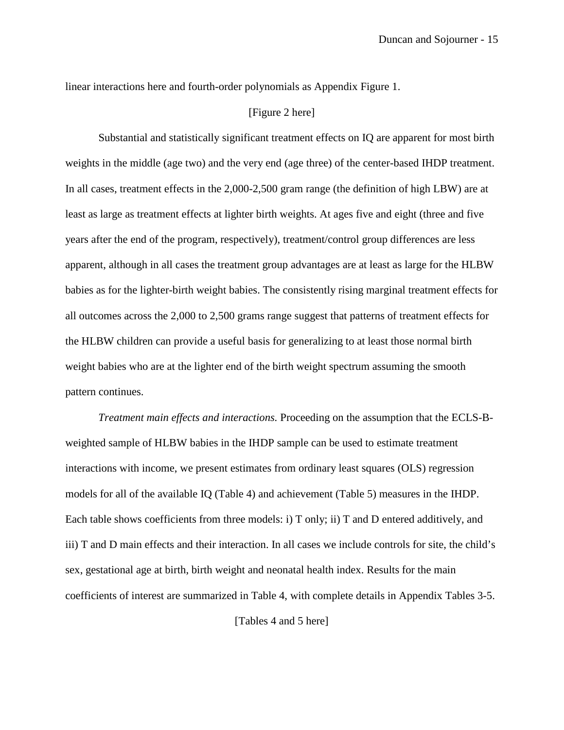linear interactions here and fourth-order polynomials as Appendix Figure 1.

#### [Figure 2 here]

Substantial and statistically significant treatment effects on IQ are apparent for most birth weights in the middle (age two) and the very end (age three) of the center-based IHDP treatment. In all cases, treatment effects in the 2,000-2,500 gram range (the definition of high LBW) are at least as large as treatment effects at lighter birth weights. At ages five and eight (three and five years after the end of the program, respectively), treatment/control group differences are less apparent, although in all cases the treatment group advantages are at least as large for the HLBW babies as for the lighter-birth weight babies. The consistently rising marginal treatment effects for all outcomes across the 2,000 to 2,500 grams range suggest that patterns of treatment effects for the HLBW children can provide a useful basis for generalizing to at least those normal birth weight babies who are at the lighter end of the birth weight spectrum assuming the smooth pattern continues.

*Treatment main effects and interactions.* Proceeding on the assumption that the ECLS-Bweighted sample of HLBW babies in the IHDP sample can be used to estimate treatment interactions with income, we present estimates from ordinary least squares (OLS) regression models for all of the available IQ (Table 4) and achievement (Table 5) measures in the IHDP. Each table shows coefficients from three models: i) T only; ii) T and D entered additively, and iii) T and D main effects and their interaction. In all cases we include controls for site, the child's sex, gestational age at birth, birth weight and neonatal health index. Results for the main coefficients of interest are summarized in Table 4, with complete details in Appendix Tables 3-5.

[Tables 4 and 5 here]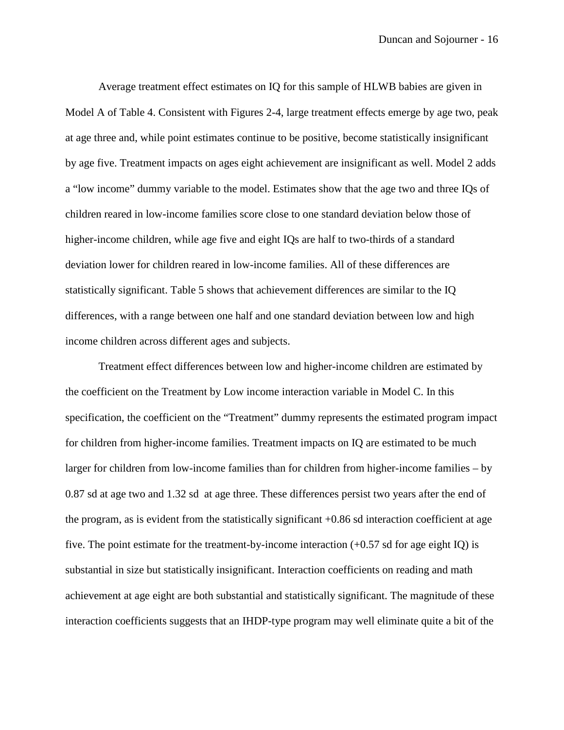Average treatment effect estimates on IQ for this sample of HLWB babies are given in Model A of Table 4. Consistent with Figures 2-4, large treatment effects emerge by age two, peak at age three and, while point estimates continue to be positive, become statistically insignificant by age five. Treatment impacts on ages eight achievement are insignificant as well. Model 2 adds a "low income" dummy variable to the model. Estimates show that the age two and three IQs of children reared in low-income families score close to one standard deviation below those of higher-income children, while age five and eight IQs are half to two-thirds of a standard deviation lower for children reared in low-income families. All of these differences are statistically significant. Table 5 shows that achievement differences are similar to the IQ differences, with a range between one half and one standard deviation between low and high income children across different ages and subjects.

Treatment effect differences between low and higher-income children are estimated by the coefficient on the Treatment by Low income interaction variable in Model C. In this specification, the coefficient on the "Treatment" dummy represents the estimated program impact for children from higher-income families. Treatment impacts on IQ are estimated to be much larger for children from low-income families than for children from higher-income families – by 0.87 sd at age two and 1.32 sd at age three. These differences persist two years after the end of the program, as is evident from the statistically significant +0.86 sd interaction coefficient at age five. The point estimate for the treatment-by-income interaction  $(+0.57 \text{ sd}$  for age eight IQ) is substantial in size but statistically insignificant. Interaction coefficients on reading and math achievement at age eight are both substantial and statistically significant. The magnitude of these interaction coefficients suggests that an IHDP-type program may well eliminate quite a bit of the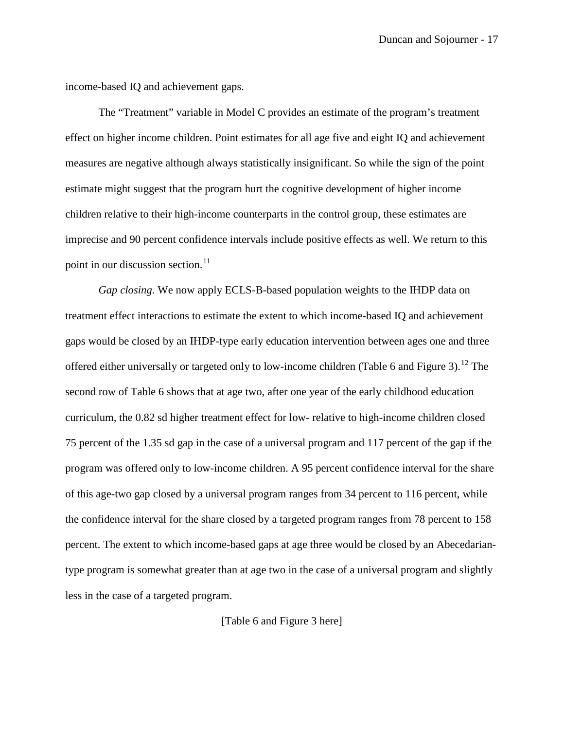income-based IQ and achievement gaps.

The "Treatment" variable in Model C provides an estimate of the program's treatment effect on higher income children. Point estimates for all age five and eight IQ and achievement measures are negative although always statistically insignificant. So while the sign of the point estimate might suggest that the program hurt the cognitive development of higher income children relative to their high-income counterparts in the control group, these estimates are imprecise and 90 percent confidence intervals include positive effects as well. We return to this point in our discussion section. $11$ 

*Gap closing*. We now apply ECLS-B-based population weights to the IHDP data on treatment effect interactions to estimate the extent to which income-based IQ and achievement gaps would be closed by an IHDP-type early education intervention between ages one and three offered either universally or targeted only to low-income children (Table 6 and Figure 3).<sup>[12](#page-44-2)</sup> The second row of Table 6 shows that at age two, after one year of the early childhood education curriculum, the 0.82 sd higher treatment effect for low- relative to high-income children closed 75 percent of the 1.35 sd gap in the case of a universal program and 117 percent of the gap if the program was offered only to low-income children. A 95 percent confidence interval for the share of this age-two gap closed by a universal program ranges from 34 percent to 116 percent, while the confidence interval for the share closed by a targeted program ranges from 78 percent to 158 percent. The extent to which income-based gaps at age three would be closed by an Abecedariantype program is somewhat greater than at age two in the case of a universal program and slightly less in the case of a targeted program.

[Table 6 and Figure 3 here]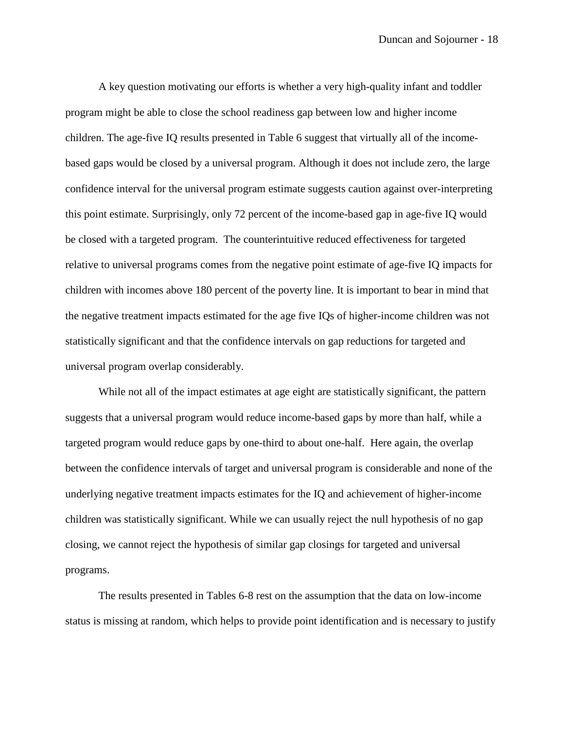A key question motivating our efforts is whether a very high-quality infant and toddler program might be able to close the school readiness gap between low and higher income children. The age-five IQ results presented in Table 6 suggest that virtually all of the incomebased gaps would be closed by a universal program. Although it does not include zero, the large confidence interval for the universal program estimate suggests caution against over-interpreting this point estimate. Surprisingly, only 72 percent of the income-based gap in age-five IQ would be closed with a targeted program. The counterintuitive reduced effectiveness for targeted relative to universal programs comes from the negative point estimate of age-five IQ impacts for children with incomes above 180 percent of the poverty line. It is important to bear in mind that the negative treatment impacts estimated for the age five IQs of higher-income children was not statistically significant and that the confidence intervals on gap reductions for targeted and universal program overlap considerably.

While not all of the impact estimates at age eight are statistically significant, the pattern suggests that a universal program would reduce income-based gaps by more than half, while a targeted program would reduce gaps by one-third to about one-half. Here again, the overlap between the confidence intervals of target and universal program is considerable and none of the underlying negative treatment impacts estimates for the IQ and achievement of higher-income children was statistically significant. While we can usually reject the null hypothesis of no gap closing, we cannot reject the hypothesis of similar gap closings for targeted and universal programs.

The results presented in Tables 6-8 rest on the assumption that the data on low-income status is missing at random, which helps to provide point identification and is necessary to justify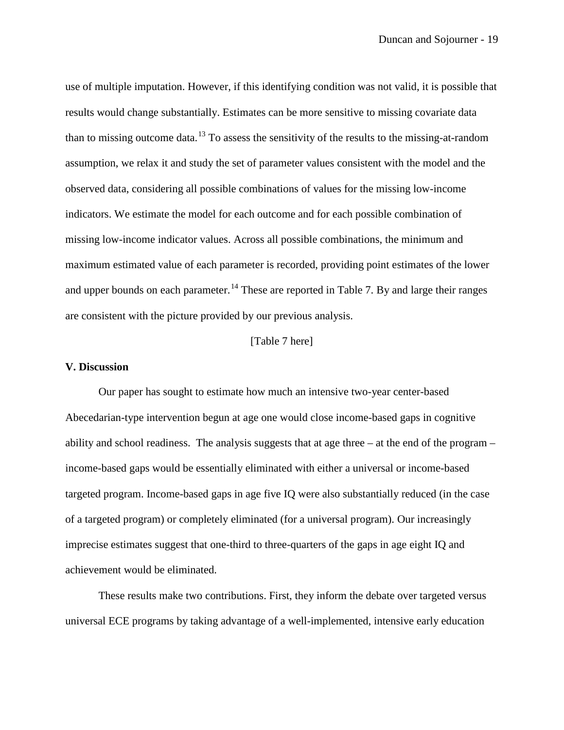use of multiple imputation. However, if this identifying condition was not valid, it is possible that results would change substantially. Estimates can be more sensitive to missing covariate data than to missing outcome data.<sup>[13](#page-44-3)</sup> To assess the sensitivity of the results to the missing-at-random assumption, we relax it and study the set of parameter values consistent with the model and the observed data, considering all possible combinations of values for the missing low-income indicators. We estimate the model for each outcome and for each possible combination of missing low-income indicator values. Across all possible combinations, the minimum and maximum estimated value of each parameter is recorded, providing point estimates of the lower and upper bounds on each parameter.<sup>[14](#page-44-4)</sup> These are reported in Table 7. By and large their ranges are consistent with the picture provided by our previous analysis.

#### [Table 7 here]

#### **V. Discussion**

Our paper has sought to estimate how much an intensive two-year center-based Abecedarian-type intervention begun at age one would close income-based gaps in cognitive ability and school readiness. The analysis suggests that at age three – at the end of the program – income-based gaps would be essentially eliminated with either a universal or income-based targeted program. Income-based gaps in age five IQ were also substantially reduced (in the case of a targeted program) or completely eliminated (for a universal program). Our increasingly imprecise estimates suggest that one-third to three-quarters of the gaps in age eight IQ and achievement would be eliminated.

These results make two contributions. First, they inform the debate over targeted versus universal ECE programs by taking advantage of a well-implemented, intensive early education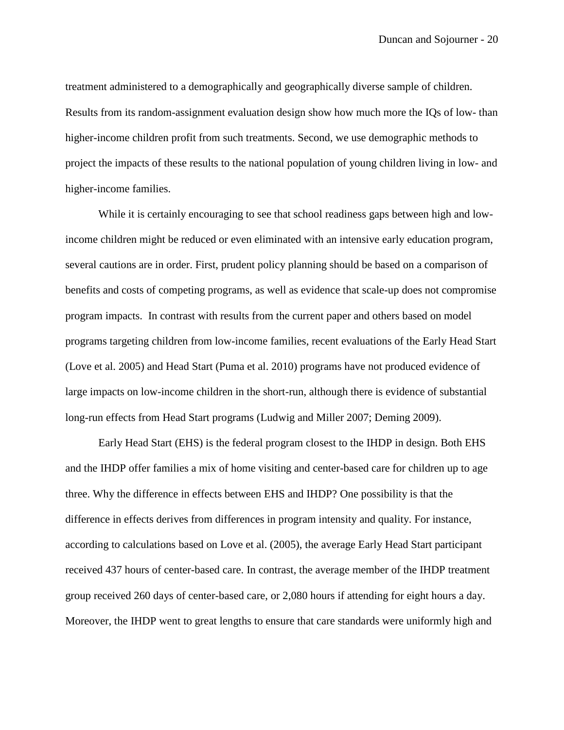treatment administered to a demographically and geographically diverse sample of children. Results from its random-assignment evaluation design show how much more the IQs of low- than higher-income children profit from such treatments. Second, we use demographic methods to project the impacts of these results to the national population of young children living in low- and higher-income families.

While it is certainly encouraging to see that school readiness gaps between high and lowincome children might be reduced or even eliminated with an intensive early education program, several cautions are in order. First, prudent policy planning should be based on a comparison of benefits and costs of competing programs, as well as evidence that scale-up does not compromise program impacts. In contrast with results from the current paper and others based on model programs targeting children from low-income families, recent evaluations of the Early Head Start (Love et al. 2005) and Head Start (Puma et al. 2010) programs have not produced evidence of large impacts on low-income children in the short-run, although there is evidence of substantial long-run effects from Head Start programs (Ludwig and Miller 2007; Deming 2009).

Early Head Start (EHS) is the federal program closest to the IHDP in design. Both EHS and the IHDP offer families a mix of home visiting and center-based care for children up to age three. Why the difference in effects between EHS and IHDP? One possibility is that the difference in effects derives from differences in program intensity and quality. For instance, according to calculations based on Love et al. (2005), the average Early Head Start participant received 437 hours of center-based care. In contrast, the average member of the IHDP treatment group received 260 days of center-based care, or 2,080 hours if attending for eight hours a day. Moreover, the IHDP went to great lengths to ensure that care standards were uniformly high and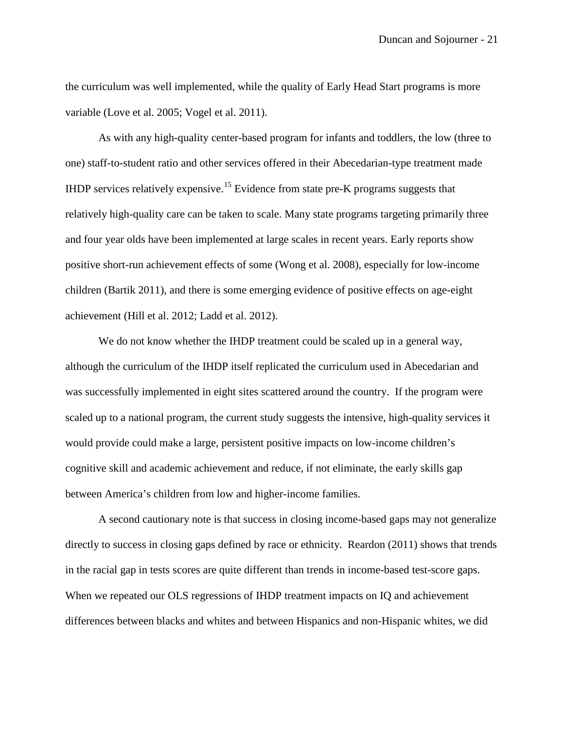the curriculum was well implemented, while the quality of Early Head Start programs is more variable (Love et al. 2005; Vogel et al. 2011).

As with any high-quality center-based program for infants and toddlers, the low (three to one) staff-to-student ratio and other services offered in their Abecedarian-type treatment made IHDP services relatively expensive.<sup>[15](#page-45-0)</sup> Evidence from state pre-K programs suggests that relatively high-quality care can be taken to scale. Many state programs targeting primarily three and four year olds have been implemented at large scales in recent years. Early reports show positive short-run achievement effects of some (Wong et al. 2008), especially for low-income children (Bartik 2011), and there is some emerging evidence of positive effects on age-eight achievement (Hill et al. 2012; Ladd et al. 2012).

We do not know whether the IHDP treatment could be scaled up in a general way, although the curriculum of the IHDP itself replicated the curriculum used in Abecedarian and was successfully implemented in eight sites scattered around the country. If the program were scaled up to a national program, the current study suggests the intensive, high-quality services it would provide could make a large, persistent positive impacts on low-income children's cognitive skill and academic achievement and reduce, if not eliminate, the early skills gap between America's children from low and higher-income families.

A second cautionary note is that success in closing income-based gaps may not generalize directly to success in closing gaps defined by race or ethnicity. Reardon (2011) shows that trends in the racial gap in tests scores are quite different than trends in income-based test-score gaps. When we repeated our OLS regressions of IHDP treatment impacts on IQ and achievement differences between blacks and whites and between Hispanics and non-Hispanic whites, we did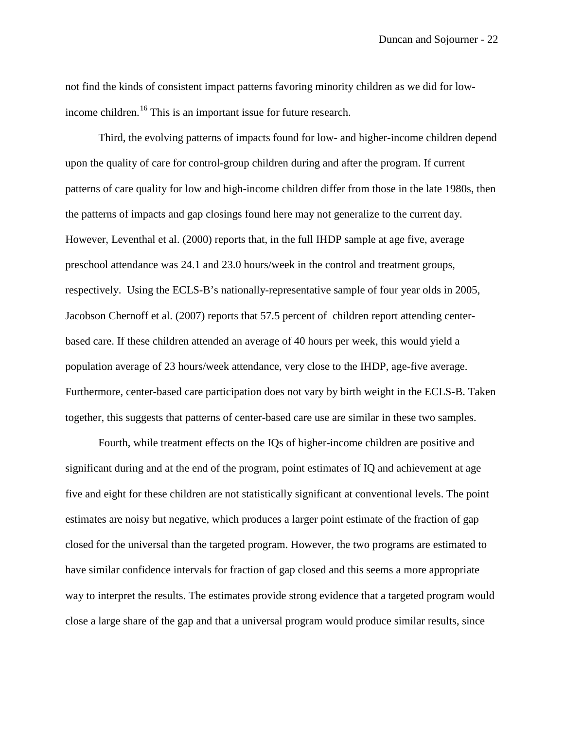not find the kinds of consistent impact patterns favoring minority children as we did for low-income children.<sup>[16](#page-45-1)</sup> This is an important issue for future research.

Third, the evolving patterns of impacts found for low- and higher-income children depend upon the quality of care for control-group children during and after the program. If current patterns of care quality for low and high-income children differ from those in the late 1980s, then the patterns of impacts and gap closings found here may not generalize to the current day. However, Leventhal et al. (2000) reports that, in the full IHDP sample at age five, average preschool attendance was 24.1 and 23.0 hours/week in the control and treatment groups, respectively. Using the ECLS-B's nationally-representative sample of four year olds in 2005, Jacobson Chernoff et al. (2007) reports that 57.5 percent of children report attending centerbased care. If these children attended an average of 40 hours per week, this would yield a population average of 23 hours/week attendance, very close to the IHDP, age-five average. Furthermore, center-based care participation does not vary by birth weight in the ECLS-B. Taken together, this suggests that patterns of center-based care use are similar in these two samples.

Fourth, while treatment effects on the IQs of higher-income children are positive and significant during and at the end of the program, point estimates of IQ and achievement at age five and eight for these children are not statistically significant at conventional levels. The point estimates are noisy but negative, which produces a larger point estimate of the fraction of gap closed for the universal than the targeted program. However, the two programs are estimated to have similar confidence intervals for fraction of gap closed and this seems a more appropriate way to interpret the results. The estimates provide strong evidence that a targeted program would close a large share of the gap and that a universal program would produce similar results, since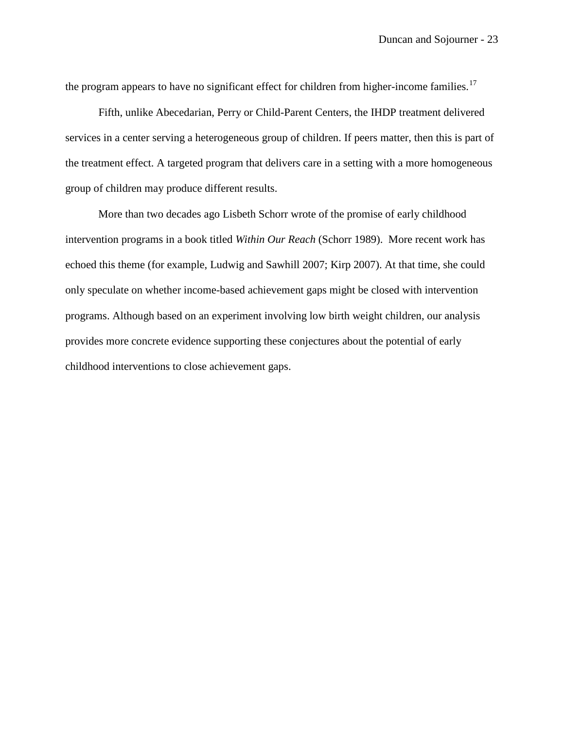the program appears to have no significant effect for children from higher-income families.<sup>[17](#page-45-2)</sup>

Fifth, unlike Abecedarian, Perry or Child-Parent Centers, the IHDP treatment delivered services in a center serving a heterogeneous group of children. If peers matter, then this is part of the treatment effect. A targeted program that delivers care in a setting with a more homogeneous group of children may produce different results.

More than two decades ago Lisbeth Schorr wrote of the promise of early childhood intervention programs in a book titled *Within Our Reach* (Schorr 1989). More recent work has echoed this theme (for example, Ludwig and Sawhill 2007; Kirp 2007). At that time, she could only speculate on whether income-based achievement gaps might be closed with intervention programs. Although based on an experiment involving low birth weight children, our analysis provides more concrete evidence supporting these conjectures about the potential of early childhood interventions to close achievement gaps.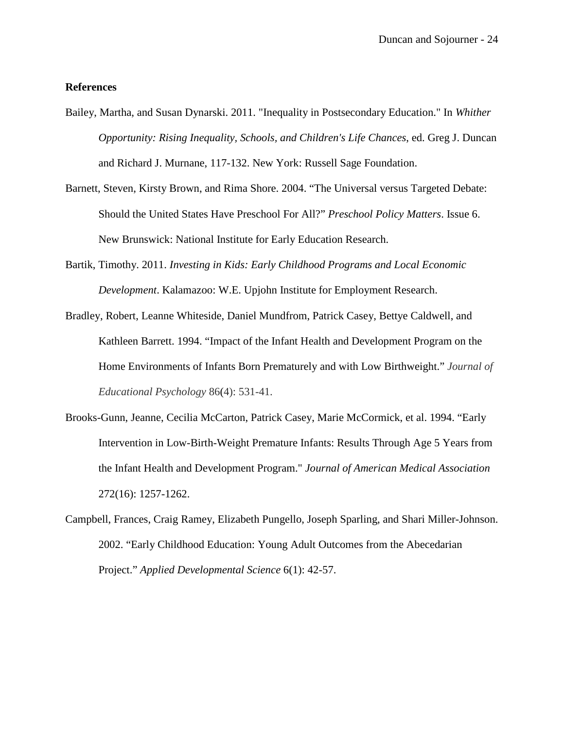#### **References**

- Bailey, Martha, and Susan Dynarski. 2011. "Inequality in Postsecondary Education." In *Whither Opportunity: Rising Inequality, Schools, and Children's Life Chances*, ed. Greg J. Duncan and Richard J. Murnane, 117-132. New York: Russell Sage Foundation.
- Barnett, Steven, Kirsty Brown, and Rima Shore. 2004. "The Universal versus Targeted Debate: Should the United States Have Preschool For All?" *Preschool Policy Matters*. Issue 6. New Brunswick: National Institute for Early Education Research.
- Bartik, Timothy. 2011. *Investing in Kids: Early Childhood Programs and Local Economic Development*. Kalamazoo: W.E. Upjohn Institute for Employment Research.
- Bradley, Robert, Leanne Whiteside, Daniel Mundfrom, Patrick Casey, Bettye Caldwell, and Kathleen Barrett. 1994. "Impact of the Infant Health and Development Program on the Home Environments of Infants Born Prematurely and with Low Birthweight." *Journal of Educational Psychology* 86(4): 531-41.
- Brooks-Gunn, Jeanne, Cecilia McCarton, Patrick Casey, Marie McCormick, et al. 1994. "Early Intervention in Low-Birth-Weight Premature Infants: Results Through Age 5 Years from the Infant Health and Development Program." *Journal of American Medical Association* 272(16): 1257-1262.
- Campbell, Frances, Craig Ramey, Elizabeth Pungello, Joseph Sparling, and Shari Miller-Johnson. 2002. "Early Childhood Education: Young Adult Outcomes from the Abecedarian Project." *Applied Developmental Science* 6(1): 42-57.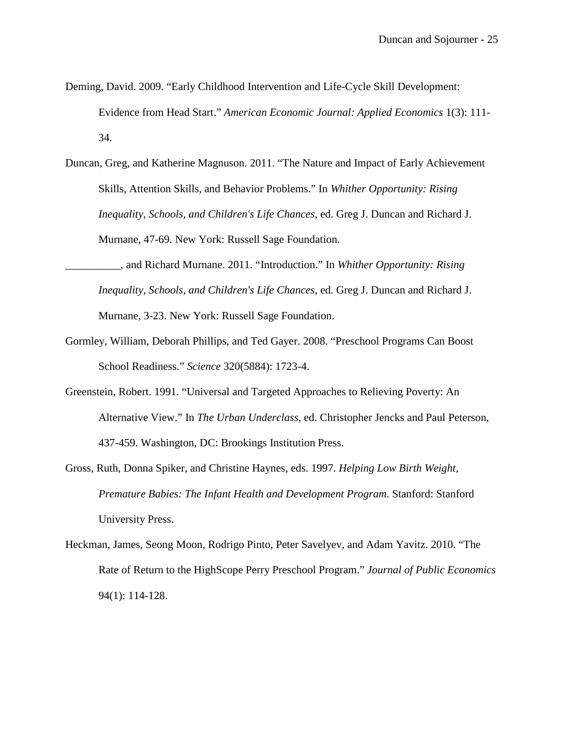- Deming, David. 2009. "Early Childhood Intervention and Life-Cycle Skill Development: Evidence from Head Start." *American Economic Journal: Applied Economics* 1(3): 111- 34.
- Duncan, Greg, and Katherine Magnuson. 2011. "The Nature and Impact of Early Achievement Skills, Attention Skills, and Behavior Problems." In *Whither Opportunity: Rising Inequality, Schools, and Children's Life Chances*, ed. Greg J. Duncan and Richard J. Murnane, 47-69. New York: Russell Sage Foundation.
- \_\_\_\_\_\_\_\_\_\_, and Richard Murnane. 2011. "Introduction." In *Whither Opportunity: Rising Inequality, Schools, and Children's Life Chances*, ed. Greg J. Duncan and Richard J. Murnane, 3-23. New York: Russell Sage Foundation.
- Gormley, William, Deborah Phillips, and Ted Gayer. 2008. "Preschool Programs Can Boost School Readiness." *Science* 320(5884): 1723-4.
- Greenstein, Robert. 1991. "Universal and Targeted Approaches to Relieving Poverty: An Alternative View." In *The Urban Underclass*, ed. Christopher Jencks and Paul Peterson, 437-459. Washington, DC: Brookings Institution Press.
- Gross, Ruth, Donna Spiker, and Christine Haynes, eds. 1997. *Helping Low Birth Weight, Premature Babies: The Infant Health and Development Program*. Stanford: Stanford University Press.
- Heckman, James, Seong Moon, Rodrigo Pinto, Peter Savelyev, and Adam Yavitz. 2010. "The Rate of Return to the HighScope Perry Preschool Program." *Journal of Public Economics* 94(1): 114-128.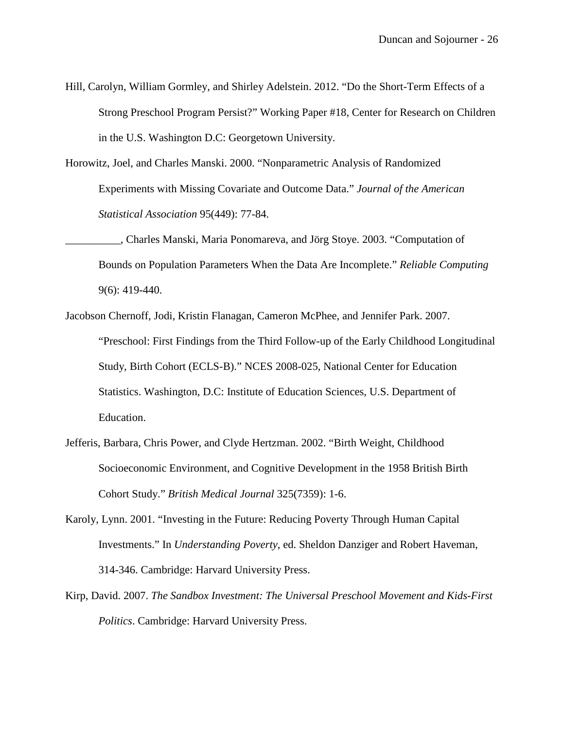- Hill, Carolyn, William Gormley, and Shirley Adelstein. 2012. "Do the Short-Term Effects of a Strong Preschool Program Persist?" Working Paper #18, Center for Research on Children in the U.S. Washington D.C: Georgetown University.
- Horowitz, Joel, and Charles Manski. 2000. "Nonparametric Analysis of Randomized Experiments with Missing Covariate and Outcome Data." *Journal of the American Statistical Association* 95(449): 77-84.
- \_\_\_\_\_\_\_\_\_\_, Charles Manski, Maria Ponomareva, and Jörg Stoye. 2003. "Computation of Bounds on Population Parameters When the Data Are Incomplete." *Reliable Computing* 9(6): 419-440.
- Jacobson Chernoff, Jodi, Kristin Flanagan, Cameron McPhee, and Jennifer Park. 2007. "Preschool: First Findings from the Third Follow-up of the Early Childhood Longitudinal Study, Birth Cohort (ECLS-B)." NCES 2008-025, National Center for Education Statistics. Washington, D.C: Institute of Education Sciences, U.S. Department of Education.
- Jefferis, Barbara, Chris Power, and Clyde Hertzman. 2002. "Birth Weight, Childhood Socioeconomic Environment, and Cognitive Development in the 1958 British Birth Cohort Study." *British Medical Journal* 325(7359): 1-6.
- Karoly, Lynn. 2001. "Investing in the Future: Reducing Poverty Through Human Capital Investments." In *Understanding Poverty*, ed. Sheldon Danziger and Robert Haveman, 314-346. Cambridge: Harvard University Press.
- Kirp, David. 2007. *The Sandbox Investment: The Universal Preschool Movement and Kids-First Politics*. Cambridge: Harvard University Press.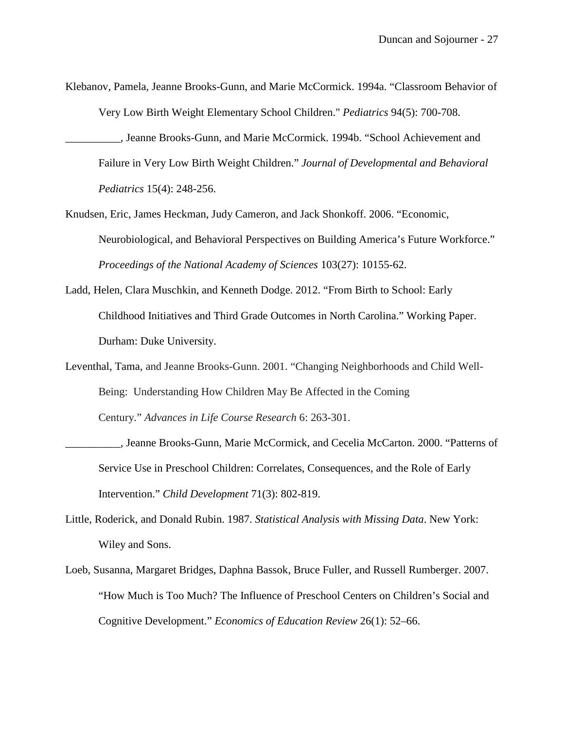- Klebanov, Pamela, Jeanne Brooks-Gunn, and Marie McCormick. 1994a. "Classroom Behavior of Very Low Birth Weight Elementary School Children." *Pediatrics* 94(5): 700-708.
	- \_\_\_\_\_\_\_\_\_\_, Jeanne Brooks-Gunn, and Marie McCormick. 1994b. "School Achievement and Failure in Very Low Birth Weight Children." *Journal of Developmental and Behavioral Pediatrics* 15(4): 248-256.
- Knudsen, Eric, James Heckman, Judy Cameron, and Jack Shonkoff. 2006. "Economic, Neurobiological, and Behavioral Perspectives on Building America's Future Workforce." *Proceedings of the National Academy of Sciences* 103(27): 10155-62.
- Ladd, Helen, Clara Muschkin, and Kenneth Dodge. 2012. "From Birth to School: Early Childhood Initiatives and Third Grade Outcomes in North Carolina." Working Paper. Durham: Duke University.
- Leventhal, Tama, and Jeanne Brooks-Gunn. 2001. "Changing Neighborhoods and Child Well-Being: Understanding How Children May Be Affected in the Coming Century." *Advances in Life Course Research* 6: 263-301.
- \_\_\_\_\_\_\_\_\_\_, Jeanne Brooks-Gunn, Marie McCormick, and Cecelia McCarton. 2000. "Patterns of Service Use in Preschool Children: Correlates, Consequences, and the Role of Early Intervention." *Child Development* 71(3): 802-819.
- Little, Roderick, and Donald Rubin. 1987. *Statistical Analysis with Missing Data*. New York: Wiley and Sons.
- Loeb, Susanna, Margaret Bridges, Daphna Bassok, Bruce Fuller, and Russell Rumberger. 2007. "How Much is Too Much? The Influence of Preschool Centers on Children's Social and Cognitive Development." *Economics of Education Review* 26(1): 52–66.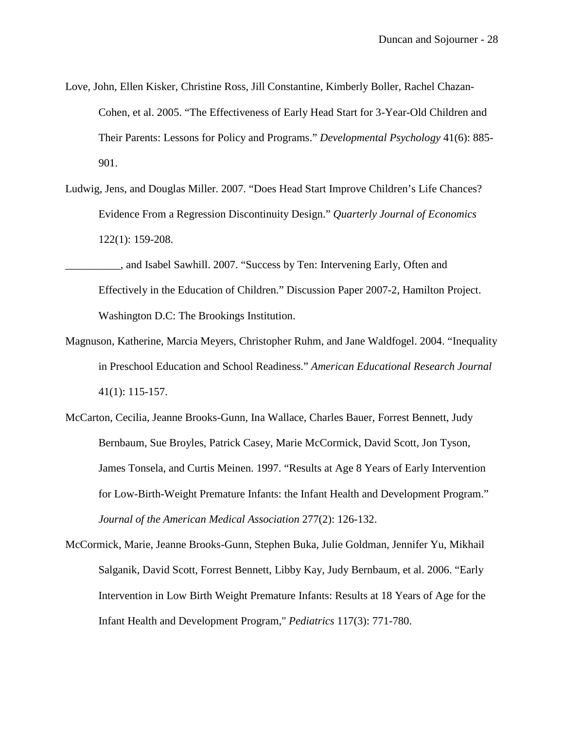- Love, John, Ellen Kisker, Christine Ross, Jill Constantine, Kimberly Boller, Rachel Chazan-Cohen, et al. 2005. "The Effectiveness of Early Head Start for 3-Year-Old Children and Their Parents: Lessons for Policy and Programs." *Developmental Psychology* 41(6): 885- 901.
- Ludwig, Jens, and Douglas Miller. 2007. "Does Head Start Improve Children's Life Chances? Evidence From a Regression Discontinuity Design." *Quarterly Journal of Economics* 122(1): 159-208.
- \_\_\_\_\_\_\_\_\_\_, and Isabel Sawhill. 2007. "Success by Ten: Intervening Early, Often and Effectively in the Education of Children." Discussion Paper 2007-2, Hamilton Project. Washington D.C: The Brookings Institution.
- Magnuson, Katherine, Marcia Meyers, Christopher Ruhm, and Jane Waldfogel. 2004. "Inequality in Preschool Education and School Readiness." *American Educational Research Journal* 41(1): 115-157.
- McCarton, Cecilia, Jeanne Brooks-Gunn, Ina Wallace, Charles Bauer, Forrest Bennett, Judy Bernbaum, Sue Broyles, Patrick Casey, Marie McCormick, David Scott, Jon Tyson, James Tonsela, and Curtis Meinen. 1997. "Results at Age 8 Years of Early Intervention for Low-Birth-Weight Premature Infants: the Infant Health and Development Program." *Journal of the American Medical Association* 277(2): 126-132.
- McCormick, Marie, Jeanne Brooks-Gunn, Stephen Buka, Julie Goldman, Jennifer Yu, Mikhail Salganik, David Scott, Forrest Bennett, Libby Kay, Judy Bernbaum, et al. 2006. "Early Intervention in Low Birth Weight Premature Infants: Results at 18 Years of Age for the Infant Health and Development Program," *Pediatrics* 117(3): 771-780.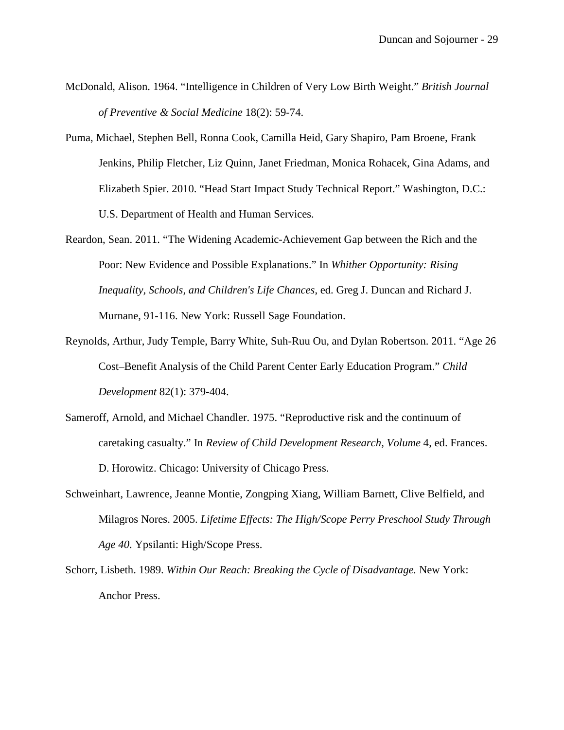- McDonald, Alison. 1964. "Intelligence in Children of Very Low Birth Weight." *British Journal of Preventive & Social Medicine* 18(2): 59-74.
- Puma, Michael, Stephen Bell, Ronna Cook, Camilla Heid, Gary Shapiro, Pam Broene, Frank Jenkins, Philip Fletcher, Liz Quinn, Janet Friedman, Monica Rohacek, Gina Adams, and Elizabeth Spier. 2010. "Head Start Impact Study Technical Report." Washington, D.C.: U.S. Department of Health and Human Services.
- Reardon, Sean. 2011. "The Widening Academic-Achievement Gap between the Rich and the Poor: New Evidence and Possible Explanations." In *Whither Opportunity: Rising Inequality, Schools, and Children's Life Chances*, ed. Greg J. Duncan and Richard J. Murnane, 91-116. New York: Russell Sage Foundation.
- Reynolds, Arthur, Judy Temple, Barry White, Suh-Ruu Ou, and Dylan Robertson. 2011. "Age 26 Cost–Benefit Analysis of the Child Parent Center Early Education Program." *Child Development* 82(1): 379-404.
- Sameroff, Arnold, and Michael Chandler. 1975. "Reproductive risk and the continuum of caretaking casualty." In *Review of Child Development Research, Volume* 4, ed. Frances. D. Horowitz. Chicago: University of Chicago Press.
- Schweinhart, Lawrence, Jeanne Montie, Zongping Xiang, William Barnett, Clive Belfield, and Milagros Nores. 2005. *Lifetime Effects: The High/Scope Perry Preschool Study Through Age 40*. Ypsilanti: High/Scope Press.
- Schorr, Lisbeth. 1989. *Within Our Reach: Breaking the Cycle of Disadvantage.* New York: Anchor Press.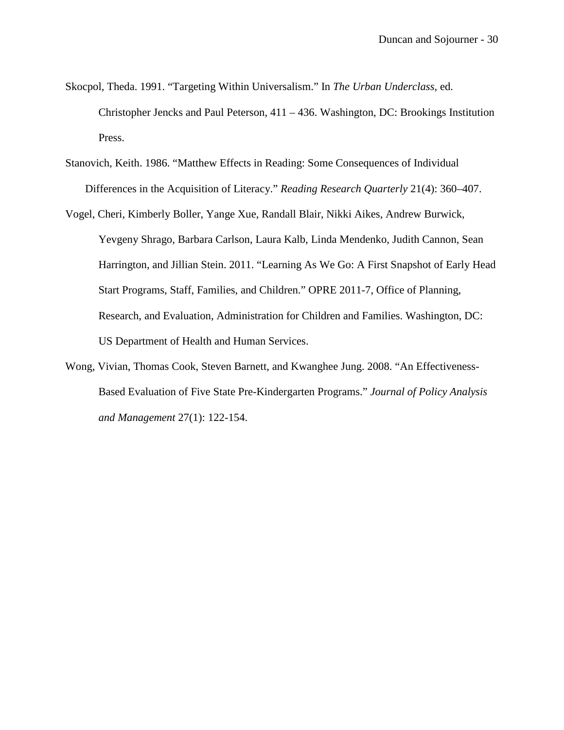- Skocpol, Theda. 1991. "Targeting Within Universalism." In *The Urban Underclass*, ed. Christopher Jencks and Paul Peterson, 411 – 436. Washington, DC: Brookings Institution Press.
- Stanovich, Keith. 1986. "Matthew Effects in Reading: Some Consequences of Individual Differences in the Acquisition of Literacy." *Reading Research Quarterly* 21(4): 360–407.
- Vogel, Cheri, Kimberly Boller, Yange Xue, Randall Blair, Nikki Aikes, Andrew Burwick, Yevgeny Shrago, Barbara Carlson, Laura Kalb, Linda Mendenko, Judith Cannon, Sean Harrington, and Jillian Stein. 2011. "Learning As We Go: A First Snapshot of Early Head Start Programs, Staff, Families, and Children." OPRE 2011-7, Office of Planning, Research, and Evaluation, Administration for Children and Families. Washington, DC: US Department of Health and Human Services.
- Wong, Vivian, Thomas Cook, Steven Barnett, and Kwanghee Jung. 2008. "An Effectiveness-Based Evaluation of Five State Pre-Kindergarten Programs." *Journal of Policy Analysis and Management* 27(1): 122-154.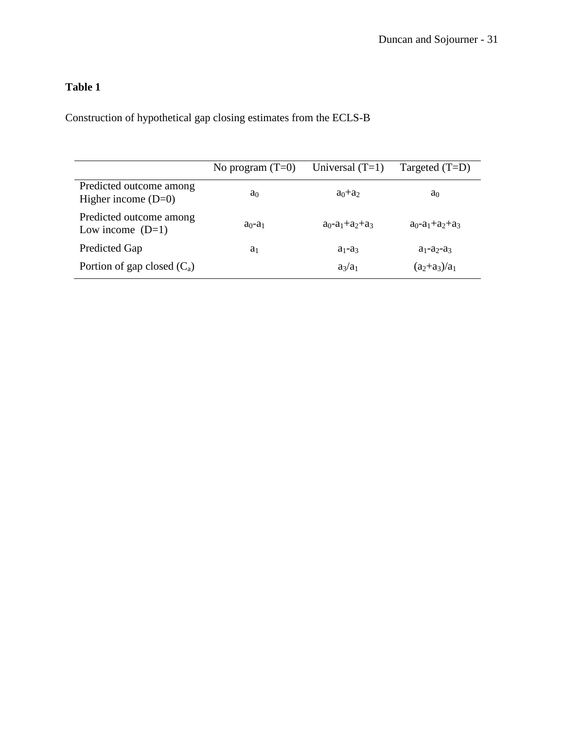Construction of hypothetical gap closing estimates from the ECLS-B

|                                                  | No program $(T=0)$ | Universal $(T=1)$             | Targeted $(T=D)$              |
|--------------------------------------------------|--------------------|-------------------------------|-------------------------------|
| Predicted outcome among<br>Higher income $(D=0)$ | a <sub>0</sub>     | $a_0+a_2$                     | a <sub>0</sub>                |
| Predicted outcome among<br>Low income $(D=1)$    | $a0-a1$            | $a_0$ - $a_1$ + $a_2$ + $a_3$ | $a_0$ - $a_1$ + $a_2$ + $a_3$ |
| <b>Predicted Gap</b>                             | a <sub>1</sub>     | $a_1-a_3$                     | $a_1-a_2-a_3$                 |
| Portion of gap closed $(C_a)$                    |                    | $a_3/a_1$                     | $(a_2+a_3)/a_1$               |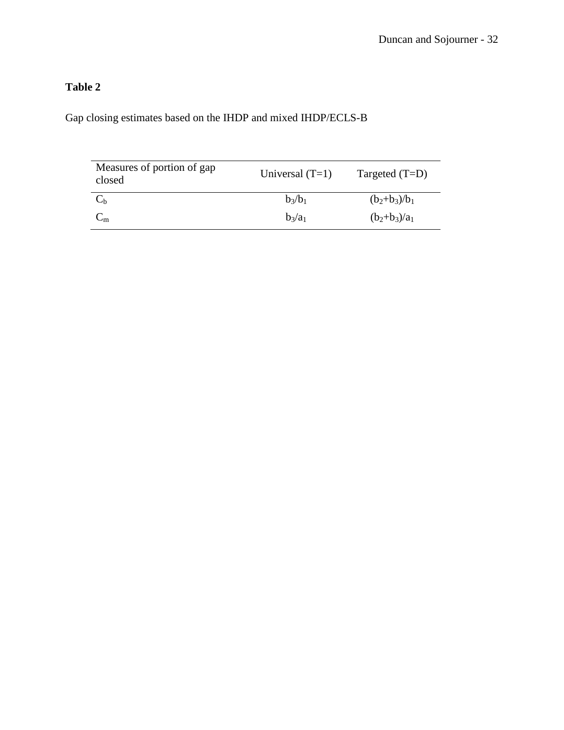Gap closing estimates based on the IHDP and mixed IHDP/ECLS-B

| Measures of portion of gap<br>closed | Universal $(T=1)$ | Targeted $(T=D)$ |
|--------------------------------------|-------------------|------------------|
|                                      | $b_3/b_1$         | $(b_2+b_3)/b_1$  |
| $\mathsf{C}_{\mathsf{m}}$            | $b_3/a_1$         | $(b_2+b_3)/a_1$  |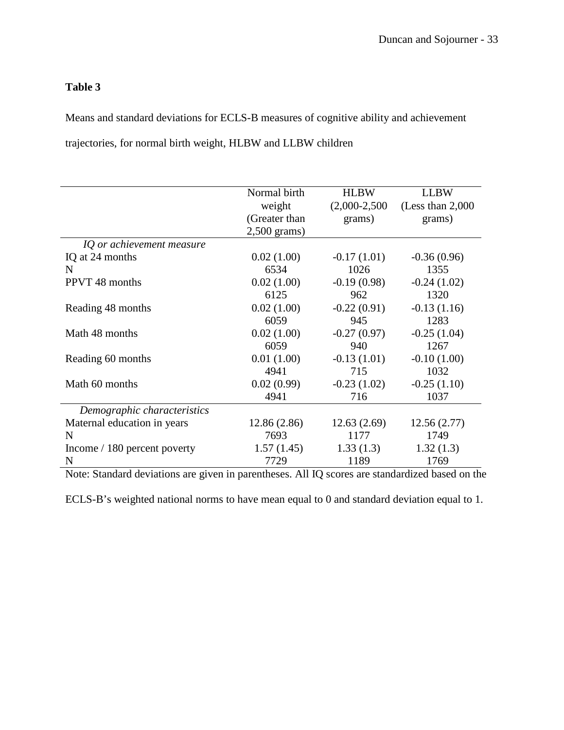Means and standard deviations for ECLS-B measures of cognitive ability and achievement trajectories, for normal birth weight, HLBW and LLBW children

|                              | Normal birth   | <b>HLBW</b>     | <b>LLBW</b>          |
|------------------------------|----------------|-----------------|----------------------|
|                              | weight         | $(2,000-2,500)$ | (Less than $2,000$ ) |
|                              | (Greater than  | grams)          | grams)               |
|                              | $2,500$ grams) |                 |                      |
| IQ or achievement measure    |                |                 |                      |
| IQ at 24 months              | 0.02(1.00)     | $-0.17(1.01)$   | $-0.36(0.96)$        |
| N                            | 6534           | 1026            | 1355                 |
| PPVT 48 months               | 0.02(1.00)     | $-0.19(0.98)$   | $-0.24(1.02)$        |
|                              | 6125           | 962             | 1320                 |
| Reading 48 months            | 0.02(1.00)     | $-0.22(0.91)$   | $-0.13(1.16)$        |
|                              | 6059           | 945             | 1283                 |
| Math 48 months               | 0.02(1.00)     | $-0.27(0.97)$   | $-0.25(1.04)$        |
|                              | 6059           | 940             | 1267                 |
| Reading 60 months            | 0.01(1.00)     | $-0.13(1.01)$   | $-0.10(1.00)$        |
|                              | 4941           | 715             | 1032                 |
| Math 60 months               | 0.02(0.99)     | $-0.23(1.02)$   | $-0.25(1.10)$        |
|                              | 4941           | 716             | 1037                 |
| Demographic characteristics  |                |                 |                      |
| Maternal education in years  | 12.86(2.86)    | 12.63(2.69)     | 12.56(2.77)          |
| N                            | 7693           | 1177            | 1749                 |
| Income / 180 percent poverty | 1.57(1.45)     | 1.33(1.3)       | 1.32(1.3)            |
| N                            | 7729           | 1189            | 1769                 |

Note: Standard deviations are given in parentheses. All IQ scores are standardized based on the

ECLS-B's weighted national norms to have mean equal to 0 and standard deviation equal to 1.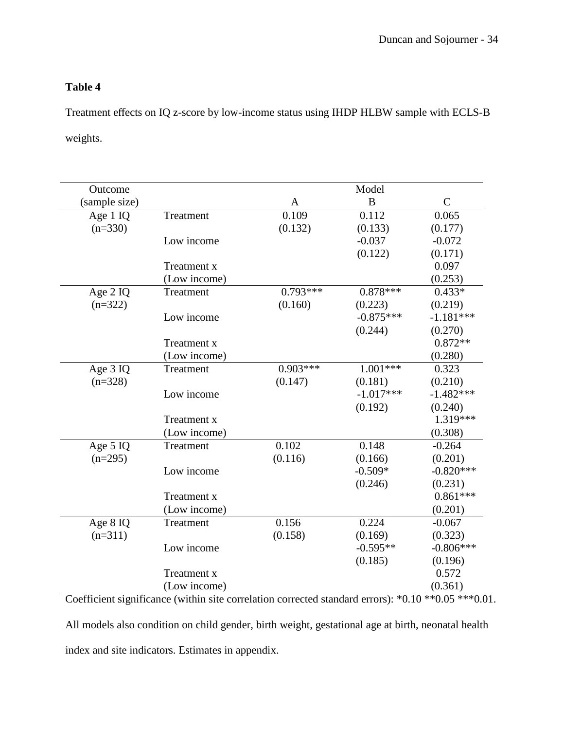Treatment effects on IQ z-score by low-income status using IHDP HLBW sample with ECLS-B weights.

| Outcome       |                    |            | Model       |             |
|---------------|--------------------|------------|-------------|-------------|
| (sample size) |                    | A          | B           | $\mathbf C$ |
| Age 1 IQ      | Treatment          | 0.109      | 0.112       | 0.065       |
| $(n=330)$     |                    | (0.132)    | (0.133)     | (0.177)     |
|               | Low income         |            | $-0.037$    | $-0.072$    |
|               |                    |            | (0.122)     | (0.171)     |
|               | Treatment x        |            |             | 0.097       |
|               | (Low income)       |            |             | (0.253)     |
| Age $2$ IQ    | Treatment          | $0.793***$ | $0.878***$  | $0.433*$    |
| $(n=322)$     |                    | (0.160)    | (0.223)     | (0.219)     |
|               | Low income         |            | $-0.875***$ | $-1.181***$ |
|               |                    |            | (0.244)     | (0.270)     |
|               | Treatment x        |            |             | $0.872**$   |
|               | (Low income)       |            |             | (0.280)     |
| Age 3 IQ      | Treatment          | $0.903***$ | $1.001***$  | 0.323       |
| $(n=328)$     |                    | (0.147)    | (0.181)     | (0.210)     |
|               | Low income         |            | $-1.017***$ | $-1.482***$ |
|               |                    |            | (0.192)     | (0.240)     |
|               | Treatment x        |            |             | 1.319***    |
|               | (Low income)       |            |             | (0.308)     |
| Age 5 IQ      | Treatment          | 0.102      | 0.148       | $-0.264$    |
| $(n=295)$     |                    | (0.116)    | (0.166)     | (0.201)     |
|               | Low income         |            | $-0.509*$   | $-0.820***$ |
|               |                    |            | (0.246)     | (0.231)     |
|               | Treatment x        |            |             | $0.861***$  |
|               | (Low income)       |            |             | (0.201)     |
| Age 8 IQ      | Treatment          | 0.156      | 0.224       | $-0.067$    |
| $(n=311)$     |                    | (0.158)    | (0.169)     | (0.323)     |
|               | Low income         |            | $-0.595**$  | $-0.806***$ |
|               |                    |            | (0.185)     | (0.196)     |
|               | <b>Treatment x</b> |            |             | 0.572       |
|               | (Low income)       |            |             | (0.361)     |

Coefficient significance (within site correlation corrected standard errors): \*0.10 \*\*0.05 \*\*\*0.01. All models also condition on child gender, birth weight, gestational age at birth, neonatal health index and site indicators. Estimates in appendix.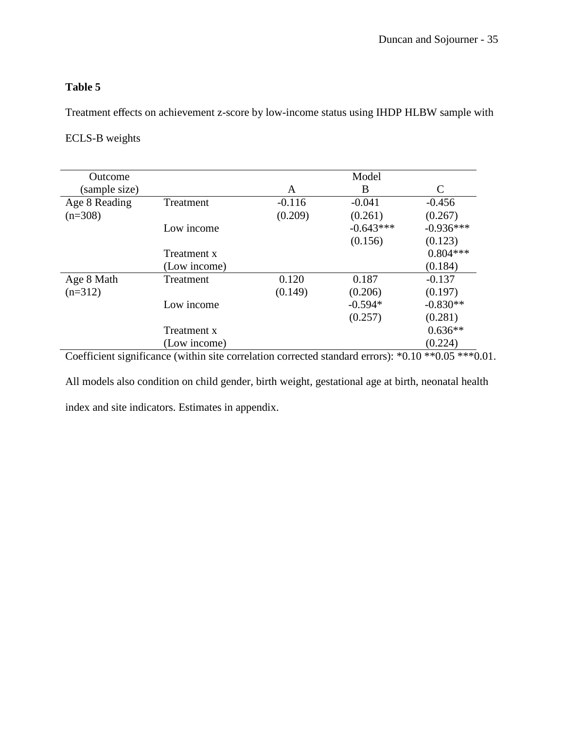Treatment effects on achievement z-score by low-income status using IHDP HLBW sample with

## ECLS-B weights

| <b>Outcome</b> |              |          | Model       |             |
|----------------|--------------|----------|-------------|-------------|
| (sample size)  |              | A        | B           | C           |
| Age 8 Reading  | Treatment    | $-0.116$ | $-0.041$    | $-0.456$    |
| $(n=308)$      |              | (0.209)  | (0.261)     | (0.267)     |
|                | Low income   |          | $-0.643***$ | $-0.936***$ |
|                |              |          | (0.156)     | (0.123)     |
|                | Treatment x  |          |             | $0.804***$  |
|                | (Low income) |          |             | (0.184)     |
| Age 8 Math     | Treatment    | 0.120    | 0.187       | $-0.137$    |
| $(n=312)$      |              | (0.149)  | (0.206)     | (0.197)     |
|                | Low income   |          | $-0.594*$   | $-0.830**$  |
|                |              |          | (0.257)     | (0.281)     |
|                | Treatment x  |          |             | $0.636**$   |
|                | (Low income) |          |             | (0.224)     |

Coefficient significance (within site correlation corrected standard errors): \*0.10 \*\*0.05 \*\*\* 0.01.

All models also condition on child gender, birth weight, gestational age at birth, neonatal health index and site indicators. Estimates in appendix.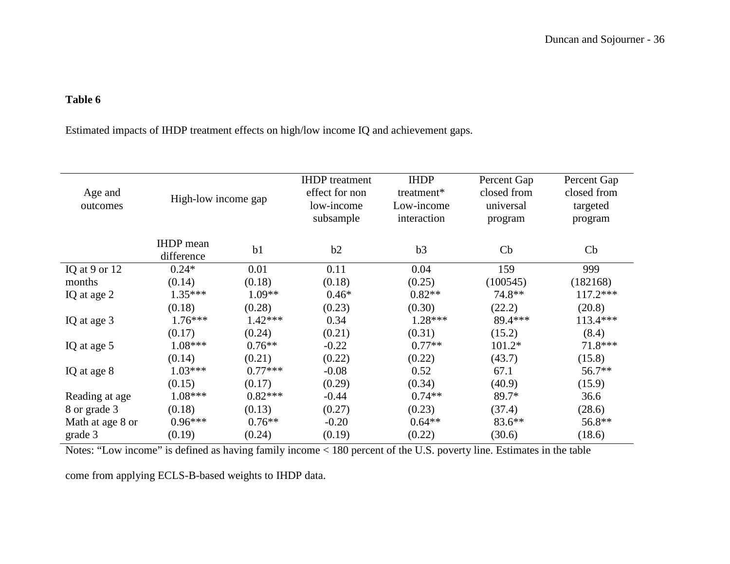Estimated impacts of IHDP treatment effects on high/low income IQ and achievement gaps.

| Age and<br>outcomes | High-low income gap            |                | <b>IHDP</b> treatment<br>effect for non<br>low-income<br>subsample | <b>IHDP</b><br>treatment*<br>Low-income<br>interaction | Percent Gap<br>closed from<br>universal<br>program | Percent Gap<br>closed from<br>targeted<br>program |
|---------------------|--------------------------------|----------------|--------------------------------------------------------------------|--------------------------------------------------------|----------------------------------------------------|---------------------------------------------------|
|                     | <b>IHDP</b> mean<br>difference | b <sub>1</sub> | b2                                                                 | b3                                                     | Cb                                                 | Cb                                                |
| IQ at $9$ or $12$   | $0.24*$                        | 0.01           | 0.11                                                               | 0.04                                                   | 159                                                | 999                                               |
| months              | (0.14)                         | (0.18)         | (0.18)                                                             | (0.25)                                                 | (100545)                                           | (182168)                                          |
| IQ at age 2         | $1.35***$                      | $1.09**$       | $0.46*$                                                            | $0.82**$                                               | 74.8**                                             | $117.2***$                                        |
|                     | (0.18)                         | (0.28)         | (0.23)                                                             | (0.30)                                                 | (22.2)                                             | (20.8)                                            |
| IQ at age 3         | $1.76***$                      | $1.42***$      | 0.34                                                               | 1.28***                                                | 89.4***                                            | 113.4***                                          |
|                     | (0.17)                         | (0.24)         | (0.21)                                                             | (0.31)                                                 | (15.2)                                             | (8.4)                                             |
| IQ at age 5         | $1.08***$                      | $0.76**$       | $-0.22$                                                            | $0.77**$                                               | $101.2*$                                           | 71.8***                                           |
|                     | (0.14)                         | (0.21)         | (0.22)                                                             | (0.22)                                                 | (43.7)                                             | (15.8)                                            |
| IQ at age 8         | $1.03***$                      | $0.77***$      | $-0.08$                                                            | 0.52                                                   | 67.1                                               | 56.7**                                            |
|                     | (0.15)                         | (0.17)         | (0.29)                                                             | (0.34)                                                 | (40.9)                                             | (15.9)                                            |
| Reading at age      | $1.08***$                      | $0.82***$      | $-0.44$                                                            | $0.74**$                                               | 89.7*                                              | 36.6                                              |
| 8 or grade 3        | (0.18)                         | (0.13)         | (0.27)                                                             | (0.23)                                                 | (37.4)                                             | (28.6)                                            |
| Math at age 8 or    | $0.96***$                      | $0.76**$       | $-0.20$                                                            | $0.64**$                                               | $83.6**$                                           | 56.8**                                            |
| grade 3             | (0.19)                         | (0.24)         | (0.19)                                                             | (0.22)                                                 | (30.6)                                             | (18.6)                                            |

Notes: "Low income" is defined as having family income < 180 percent of the U.S. poverty line. Estimates in the table

come from applying ECLS-B-based weights to IHDP data.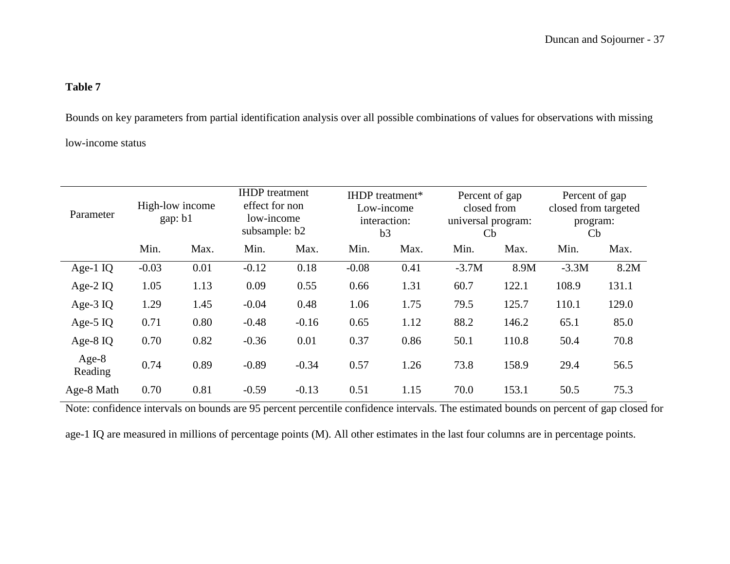Bounds on key parameters from partial identification analysis over all possible combinations of values for observations with missing low-income status

| Parameter          | High-low income<br>gap: b1 |      | <b>IHDP</b> treatment<br>effect for non<br>low-income<br>subsample: b2 |         |         | <b>IHDP</b> treatment*<br>Low-income<br>interaction:<br>b3 |         | Percent of gap<br>closed from<br>universal program:<br>$\mathbf{C}$ |         | Percent of gap<br>closed from targeted<br>program:<br>Cb |  |
|--------------------|----------------------------|------|------------------------------------------------------------------------|---------|---------|------------------------------------------------------------|---------|---------------------------------------------------------------------|---------|----------------------------------------------------------|--|
|                    | Min.                       | Max. | Min.                                                                   | Max.    | Min.    | Max.                                                       | Min.    | Max.                                                                | Min.    | Max.                                                     |  |
| Age-1 $IQ$         | $-0.03$                    | 0.01 | $-0.12$                                                                | 0.18    | $-0.08$ | 0.41                                                       | $-3.7M$ | 8.9M                                                                | $-3.3M$ | 8.2M                                                     |  |
| Age-2 $IQ$         | 1.05                       | 1.13 | 0.09                                                                   | 0.55    | 0.66    | 1.31                                                       | 60.7    | 122.1                                                               | 108.9   | 131.1                                                    |  |
| Age- $3$ IQ        | 1.29                       | 1.45 | $-0.04$                                                                | 0.48    | 1.06    | 1.75                                                       | 79.5    | 125.7                                                               | 110.1   | 129.0                                                    |  |
| Age- $5$ IQ        | 0.71                       | 0.80 | $-0.48$                                                                | $-0.16$ | 0.65    | 1.12                                                       | 88.2    | 146.2                                                               | 65.1    | 85.0                                                     |  |
| Age- $8$ IQ        | 0.70                       | 0.82 | $-0.36$                                                                | 0.01    | 0.37    | 0.86                                                       | 50.1    | 110.8                                                               | 50.4    | 70.8                                                     |  |
| $Age-8$<br>Reading | 0.74                       | 0.89 | $-0.89$                                                                | $-0.34$ | 0.57    | 1.26                                                       | 73.8    | 158.9                                                               | 29.4    | 56.5                                                     |  |
| Age-8 Math         | 0.70                       | 0.81 | $-0.59$                                                                | $-0.13$ | 0.51    | 1.15                                                       | 70.0    | 153.1                                                               | 50.5    | 75.3                                                     |  |

Note: confidence intervals on bounds are 95 percent percentile confidence intervals. The estimated bounds on percent of gap closed for

age-1 IQ are measured in millions of percentage points (M). All other estimates in the last four columns are in percentage points.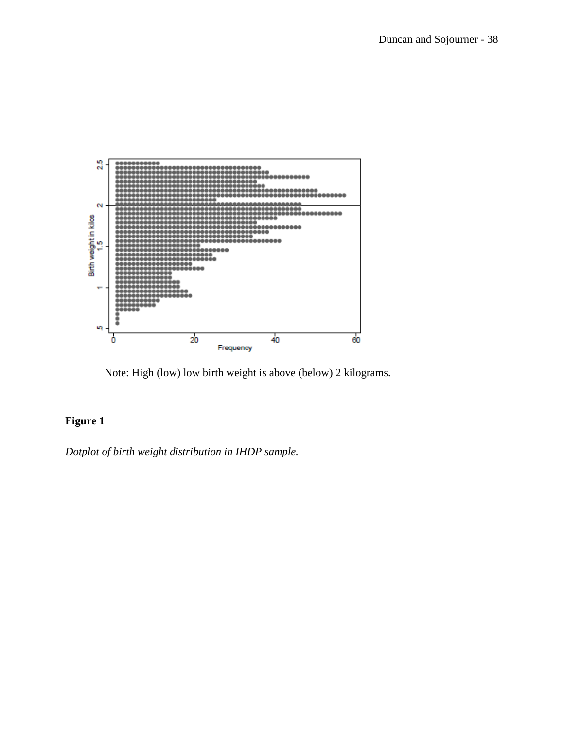

Note: High (low) low birth weight is above (below) 2 kilograms.

## **Figure 1**

*Dotplot of birth weight distribution in IHDP sample.*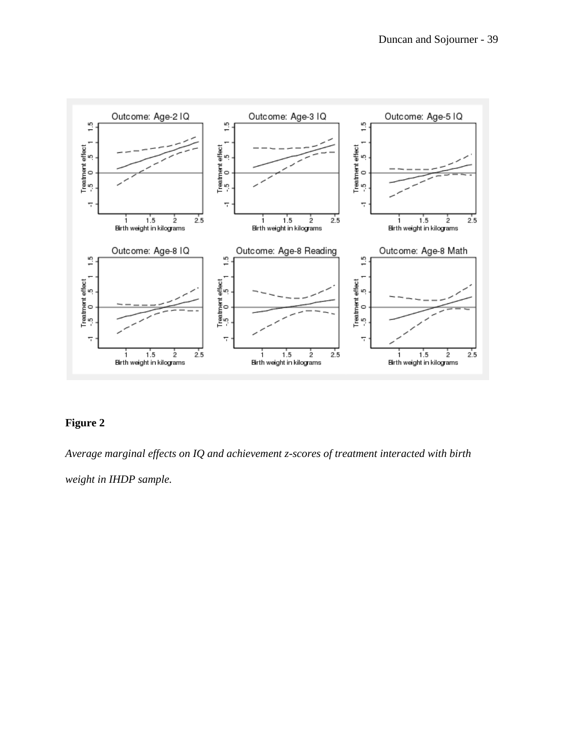

## **Figure 2**

*Average marginal effects on IQ and achievement z-scores of treatment interacted with birth* 

*weight in IHDP sample.*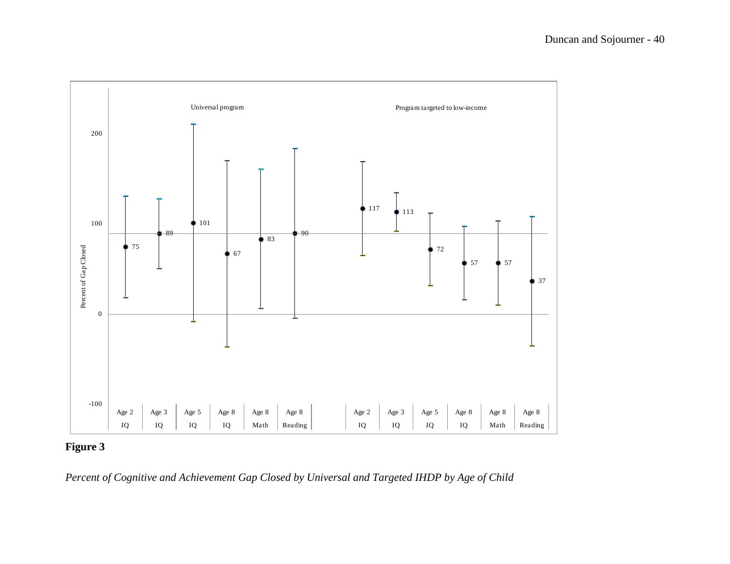

## **Figure 3**

*Percent of Cognitive and Achievement Gap Closed by Universal and Targeted IHDP by Age of Child*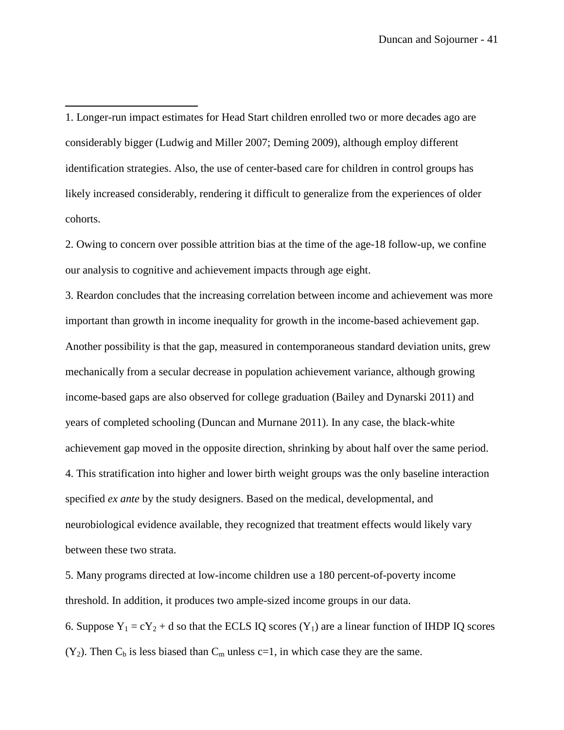<span id="page-42-0"></span>1. Longer-run impact estimates for Head Start children enrolled two or more decades ago are considerably bigger (Ludwig and Miller 2007; Deming 2009), although employ different identification strategies. Also, the use of center-based care for children in control groups has likely increased considerably, rendering it difficult to generalize from the experiences of older cohorts.

ı

<span id="page-42-1"></span>2. Owing to concern over possible attrition bias at the time of the age-18 follow-up, we confine our analysis to cognitive and achievement impacts through age eight.

<span id="page-42-2"></span>3. Reardon concludes that the increasing correlation between income and achievement was more important than growth in income inequality for growth in the income-based achievement gap. Another possibility is that the gap, measured in contemporaneous standard deviation units, grew mechanically from a secular decrease in population achievement variance, although growing income-based gaps are also observed for college graduation (Bailey and Dynarski 2011) and years of completed schooling (Duncan and Murnane 2011). In any case, the black-white achievement gap moved in the opposite direction, shrinking by about half over the same period. 4. This stratification into higher and lower birth weight groups was the only baseline interaction specified *ex ante* by the study designers. Based on the medical, developmental, and neurobiological evidence available, they recognized that treatment effects would likely vary between these two strata.

<span id="page-42-5"></span><span id="page-42-4"></span><span id="page-42-3"></span>5. Many programs directed at low-income children use a 180 percent-of-poverty income threshold. In addition, it produces two ample-sized income groups in our data. 6. Suppose  $Y_1 = cY_2 + d$  so that the ECLS IQ scores  $(Y_1)$  are a linear function of IHDP IQ scores  $(Y_2)$ . Then  $C_b$  is less biased than  $C_m$  unless c=1, in which case they are the same.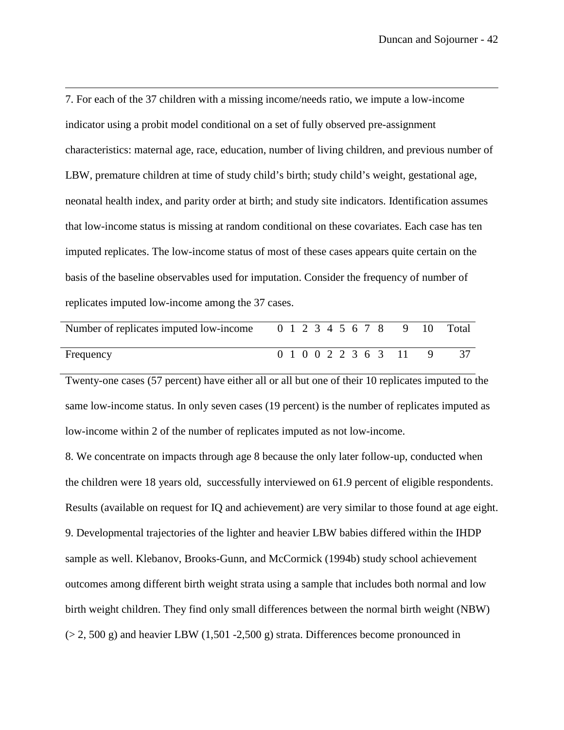<span id="page-43-0"></span>7. For each of the 37 children with a missing income/needs ratio, we impute a low-income indicator using a probit model conditional on a set of fully observed pre-assignment characteristics: maternal age, race, education, number of living children, and previous number of LBW, premature children at time of study child's birth; study child's weight, gestational age, neonatal health index, and parity order at birth; and study site indicators. Identification assumes that low-income status is missing at random conditional on these covariates. Each case has ten imputed replicates. The low-income status of most of these cases appears quite certain on the basis of the baseline observables used for imputation. Consider the frequency of number of replicates imputed low-income among the 37 cases.

 $\overline{\phantom{0}}$ 

| Number of replicates imputed low-income |  |  |  |  |                      | 0 1 2 3 4 5 6 7 8 9 10 Total |
|-----------------------------------------|--|--|--|--|----------------------|------------------------------|
| Frequency                               |  |  |  |  | 0 1 0 0 2 2 3 6 3 11 |                              |

Twenty-one cases (57 percent) have either all or all but one of their 10 replicates imputed to the same low-income status. In only seven cases (19 percent) is the number of replicates imputed as low-income within 2 of the number of replicates imputed as not low-income.

<span id="page-43-2"></span><span id="page-43-1"></span>8. We concentrate on impacts through age 8 because the only later follow-up, conducted when the children were 18 years old, successfully interviewed on 61.9 percent of eligible respondents. Results (available on request for IQ and achievement) are very similar to those found at age eight. 9. Developmental trajectories of the lighter and heavier LBW babies differed within the IHDP sample as well. Klebanov, Brooks-Gunn, and McCormick (1994b) study school achievement outcomes among different birth weight strata using a sample that includes both normal and low birth weight children. They find only small differences between the normal birth weight (NBW)  $(> 2, 500 \text{ g})$  and heavier LBW  $(1, 501 - 2, 500 \text{ g})$  strata. Differences become pronounced in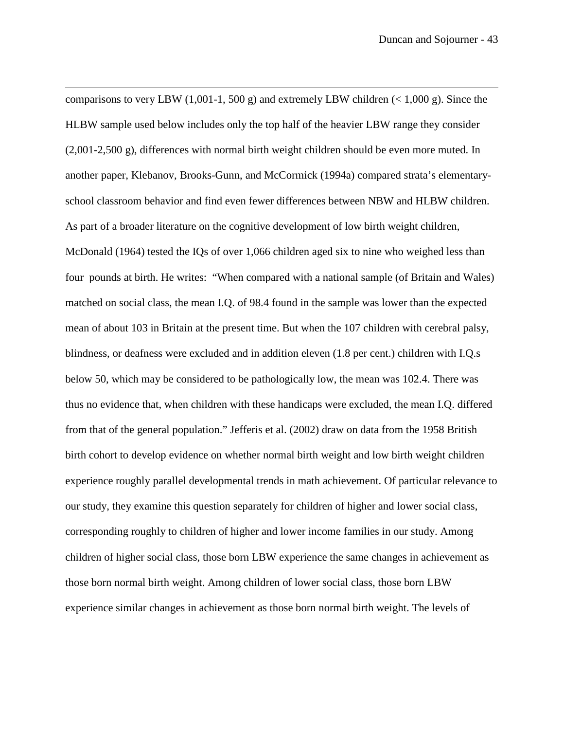<span id="page-44-4"></span><span id="page-44-3"></span><span id="page-44-2"></span><span id="page-44-1"></span><span id="page-44-0"></span>comparisons to very LBW (1,001-1, 500 g) and extremely LBW children  $\ll 1,000$  g). Since the HLBW sample used below includes only the top half of the heavier LBW range they consider (2,001-2,500 g), differences with normal birth weight children should be even more muted. In another paper, Klebanov, Brooks-Gunn, and McCormick (1994a) compared strata's elementaryschool classroom behavior and find even fewer differences between NBW and HLBW children. As part of a broader literature on the cognitive development of low birth weight children, McDonald (1964) tested the IQs of over 1,066 children aged six to nine who weighed less than four pounds at birth. He writes: "When compared with a national sample (of Britain and Wales) matched on social class, the mean I.Q. of 98.4 found in the sample was lower than the expected mean of about 103 in Britain at the present time. But when the 107 children with cerebral palsy, blindness, or deafness were excluded and in addition eleven (1.8 per cent.) children with I.Q.s below 50, which may be considered to be pathologically low, the mean was 102.4. There was thus no evidence that, when children with these handicaps were excluded, the mean I.Q. differed from that of the general population." Jefferis et al. (2002) draw on data from the 1958 British birth cohort to develop evidence on whether normal birth weight and low birth weight children experience roughly parallel developmental trends in math achievement. Of particular relevance to our study, they examine this question separately for children of higher and lower social class, corresponding roughly to children of higher and lower income families in our study. Among children of higher social class, those born LBW experience the same changes in achievement as those born normal birth weight. Among children of lower social class, those born LBW experience similar changes in achievement as those born normal birth weight. The levels of

 $\overline{\phantom{0}}$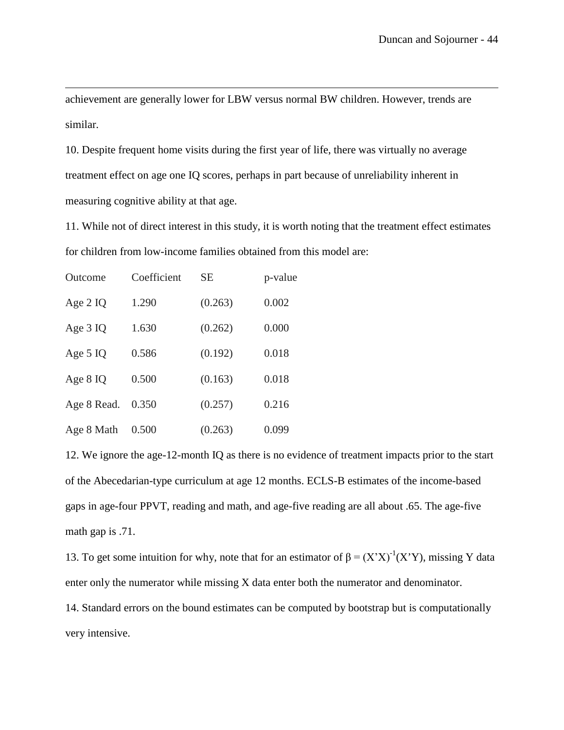<span id="page-45-0"></span>achievement are generally lower for LBW versus normal BW children. However, trends are similar.

10. Despite frequent home visits during the first year of life, there was virtually no average treatment effect on age one IQ scores, perhaps in part because of unreliability inherent in measuring cognitive ability at that age.

11. While not of direct interest in this study, it is worth noting that the treatment effect estimates for children from low-income families obtained from this model are:

<span id="page-45-1"></span>

| Outcome     | Coefficient | <b>SE</b> | p-value |
|-------------|-------------|-----------|---------|
| Age $2$ IQ  | 1.290       | (0.263)   | 0.002   |
| Age 3 IQ    | 1.630       | (0.262)   | 0.000   |
| Age $5$ IQ  | 0.586       | (0.192)   | 0.018   |
| Age 8 IQ    | 0.500       | (0.163)   | 0.018   |
| Age 8 Read. | 0.350       | (0.257)   | 0.216   |
| Age 8 Math  | 0.500       | (0.263)   | 0.099   |

 $\overline{\phantom{0}}$ 

12. We ignore the age-12-month IQ as there is no evidence of treatment impacts prior to the start of the Abecedarian-type curriculum at age 12 months. ECLS-B estimates of the income-based gaps in age-four PPVT, reading and math, and age-five reading are all about .65. The age-five math gap is .71.

<span id="page-45-2"></span>13. To get some intuition for why, note that for an estimator of  $β = (X'X)^{-1}(X'Y)$ , missing Y data enter only the numerator while missing X data enter both the numerator and denominator. 14. Standard errors on the bound estimates can be computed by bootstrap but is computationally very intensive.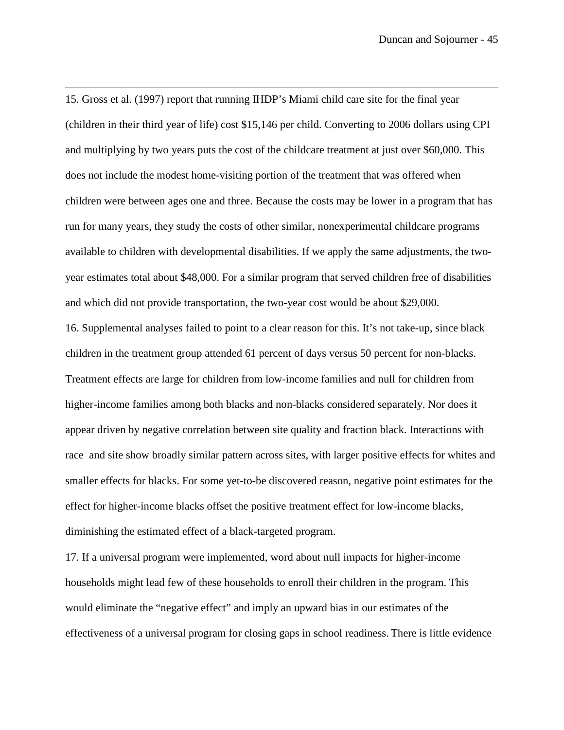15. Gross et al. (1997) report that running IHDP's Miami child care site for the final year (children in their third year of life) cost \$15,146 per child. Converting to 2006 dollars using CPI and multiplying by two years puts the cost of the childcare treatment at just over \$60,000. This does not include the modest home-visiting portion of the treatment that was offered when children were between ages one and three. Because the costs may be lower in a program that has run for many years, they study the costs of other similar, nonexperimental childcare programs available to children with developmental disabilities. If we apply the same adjustments, the twoyear estimates total about \$48,000. For a similar program that served children free of disabilities and which did not provide transportation, the two-year cost would be about \$29,000.

 $\overline{\phantom{0}}$ 

16. Supplemental analyses failed to point to a clear reason for this. It's not take-up, since black children in the treatment group attended 61 percent of days versus 50 percent for non-blacks. Treatment effects are large for children from low-income families and null for children from higher-income families among both blacks and non-blacks considered separately. Nor does it appear driven by negative correlation between site quality and fraction black. Interactions with race and site show broadly similar pattern across sites, with larger positive effects for whites and smaller effects for blacks. For some yet-to-be discovered reason, negative point estimates for the effect for higher-income blacks offset the positive treatment effect for low-income blacks, diminishing the estimated effect of a black-targeted program.

17. If a universal program were implemented, word about null impacts for higher-income households might lead few of these households to enroll their children in the program. This would eliminate the "negative effect" and imply an upward bias in our estimates of the effectiveness of a universal program for closing gaps in school readiness. There is little evidence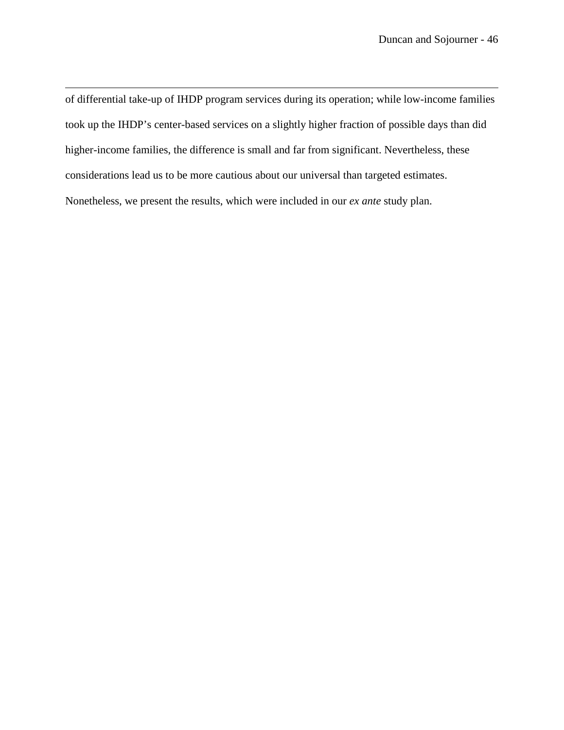of differential take-up of IHDP program services during its operation; while low-income families took up the IHDP's center-based services on a slightly higher fraction of possible days than did higher-income families, the difference is small and far from significant. Nevertheless, these considerations lead us to be more cautious about our universal than targeted estimates. Nonetheless, we present the results, which were included in our *ex ante* study plan.

 $\overline{\phantom{0}}$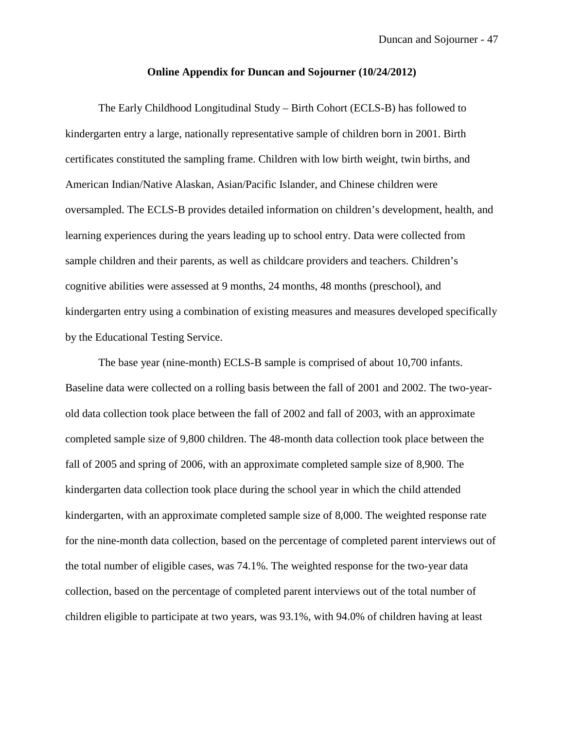#### **Online Appendix for Duncan and Sojourner (10/24/2012)**

The Early Childhood Longitudinal Study – Birth Cohort (ECLS-B) has followed to kindergarten entry a large, nationally representative sample of children born in 2001. Birth certificates constituted the sampling frame. Children with low birth weight, twin births, and American Indian/Native Alaskan, Asian/Pacific Islander, and Chinese children were oversampled. The ECLS-B provides detailed information on children's development, health, and learning experiences during the years leading up to school entry. Data were collected from sample children and their parents, as well as childcare providers and teachers. Children's cognitive abilities were assessed at 9 months, 24 months, 48 months (preschool), and kindergarten entry using a combination of existing measures and measures developed specifically by the Educational Testing Service.

The base year (nine-month) ECLS-B sample is comprised of about 10,700 infants. Baseline data were collected on a rolling basis between the fall of 2001 and 2002. The two-yearold data collection took place between the fall of 2002 and fall of 2003, with an approximate completed sample size of 9,800 children. The 48-month data collection took place between the fall of 2005 and spring of 2006, with an approximate completed sample size of 8,900. The kindergarten data collection took place during the school year in which the child attended kindergarten, with an approximate completed sample size of 8,000. The weighted response rate for the nine-month data collection, based on the percentage of completed parent interviews out of the total number of eligible cases, was 74.1%. The weighted response for the two-year data collection, based on the percentage of completed parent interviews out of the total number of children eligible to participate at two years, was 93.1%, with 94.0% of children having at least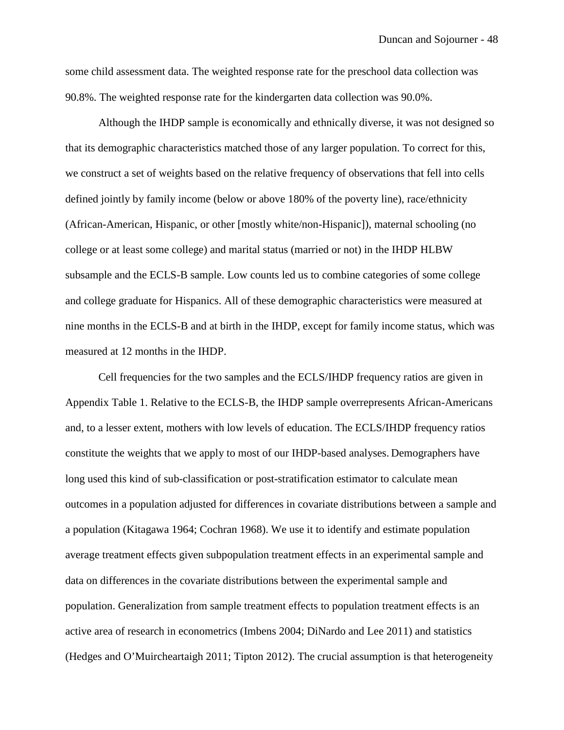some child assessment data. The weighted response rate for the preschool data collection was 90.8%. The weighted response rate for the kindergarten data collection was 90.0%.

Although the IHDP sample is economically and ethnically diverse, it was not designed so that its demographic characteristics matched those of any larger population. To correct for this, we construct a set of weights based on the relative frequency of observations that fell into cells defined jointly by family income (below or above 180% of the poverty line), race/ethnicity (African-American, Hispanic, or other [mostly white/non-Hispanic]), maternal schooling (no college or at least some college) and marital status (married or not) in the IHDP HLBW subsample and the ECLS-B sample. Low counts led us to combine categories of some college and college graduate for Hispanics. All of these demographic characteristics were measured at nine months in the ECLS-B and at birth in the IHDP, except for family income status, which was measured at 12 months in the IHDP.

Cell frequencies for the two samples and the ECLS/IHDP frequency ratios are given in Appendix Table 1. Relative to the ECLS-B, the IHDP sample overrepresents African-Americans and, to a lesser extent, mothers with low levels of education. The ECLS/IHDP frequency ratios constitute the weights that we apply to most of our IHDP-based analyses. Demographers have long used this kind of sub-classification or post-stratification estimator to calculate mean outcomes in a population adjusted for differences in covariate distributions between a sample and a population (Kitagawa 1964; Cochran 1968). We use it to identify and estimate population average treatment effects given subpopulation treatment effects in an experimental sample and data on differences in the covariate distributions between the experimental sample and population. Generalization from sample treatment effects to population treatment effects is an active area of research in econometrics (Imbens 2004; DiNardo and Lee 2011) and statistics (Hedges and O'Muircheartaigh 2011; Tipton 2012). The crucial assumption is that heterogeneity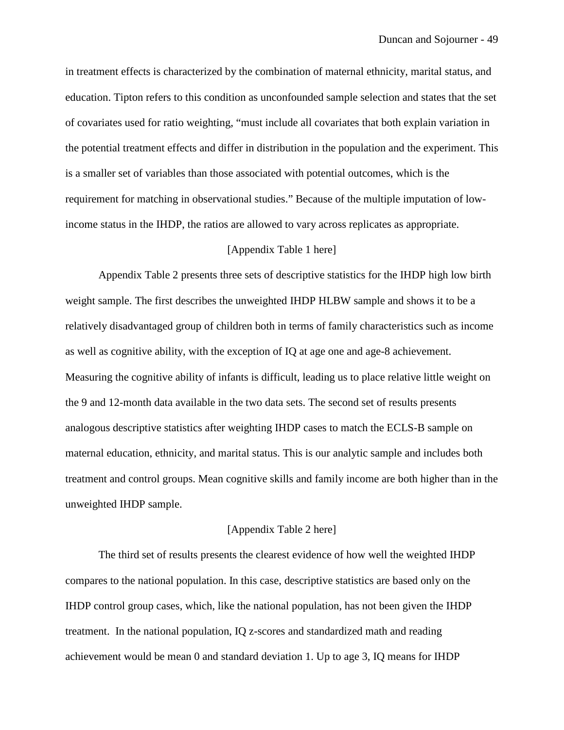in treatment effects is characterized by the combination of maternal ethnicity, marital status, and education. Tipton refers to this condition as unconfounded sample selection and states that the set of covariates used for ratio weighting, "must include all covariates that both explain variation in the potential treatment effects and differ in distribution in the population and the experiment. This is a smaller set of variables than those associated with potential outcomes, which is the requirement for matching in observational studies." Because of the multiple imputation of lowincome status in the IHDP, the ratios are allowed to vary across replicates as appropriate.

#### [Appendix Table 1 here]

Appendix Table 2 presents three sets of descriptive statistics for the IHDP high low birth weight sample. The first describes the unweighted IHDP HLBW sample and shows it to be a relatively disadvantaged group of children both in terms of family characteristics such as income as well as cognitive ability, with the exception of IQ at age one and age-8 achievement. Measuring the cognitive ability of infants is difficult, leading us to place relative little weight on the 9 and 12-month data available in the two data sets. The second set of results presents analogous descriptive statistics after weighting IHDP cases to match the ECLS-B sample on maternal education, ethnicity, and marital status. This is our analytic sample and includes both treatment and control groups. Mean cognitive skills and family income are both higher than in the unweighted IHDP sample.

#### [Appendix Table 2 here]

The third set of results presents the clearest evidence of how well the weighted IHDP compares to the national population. In this case, descriptive statistics are based only on the IHDP control group cases, which, like the national population, has not been given the IHDP treatment. In the national population, IQ z-scores and standardized math and reading achievement would be mean 0 and standard deviation 1. Up to age 3, IQ means for IHDP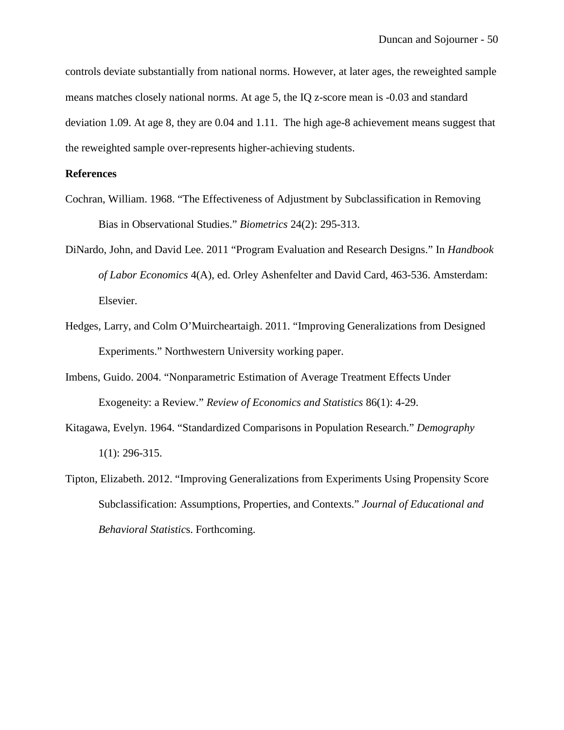controls deviate substantially from national norms. However, at later ages, the reweighted sample means matches closely national norms. At age 5, the IQ z-score mean is -0.03 and standard deviation 1.09. At age 8, they are 0.04 and 1.11. The high age-8 achievement means suggest that the reweighted sample over-represents higher-achieving students.

#### **References**

- Cochran, William. 1968. "The Effectiveness of Adjustment by Subclassification in Removing Bias in Observational Studies." *Biometrics* 24(2): 295-313.
- DiNardo, John, and David Lee. 2011 "Program Evaluation and Research Designs." In *Handbook of Labor Economics* 4(A), ed. Orley Ashenfelter and David Card, 463-536. Amsterdam: Elsevier.
- Hedges, Larry, and Colm O'Muircheartaigh. 2011. "Improving Generalizations from Designed Experiments." Northwestern University working paper.
- Imbens, Guido. 2004. "Nonparametric Estimation of Average Treatment Effects Under Exogeneity: a Review." *Review of Economics and Statistics* 86(1): 4-29.
- Kitagawa, Evelyn. 1964. "Standardized Comparisons in Population Research." *Demography* 1(1): 296-315.
- Tipton, Elizabeth. 2012. "Improving Generalizations from Experiments Using Propensity Score Subclassification: Assumptions, Properties, and Contexts." *Journal of Educational and Behavioral Statistic*s. Forthcoming.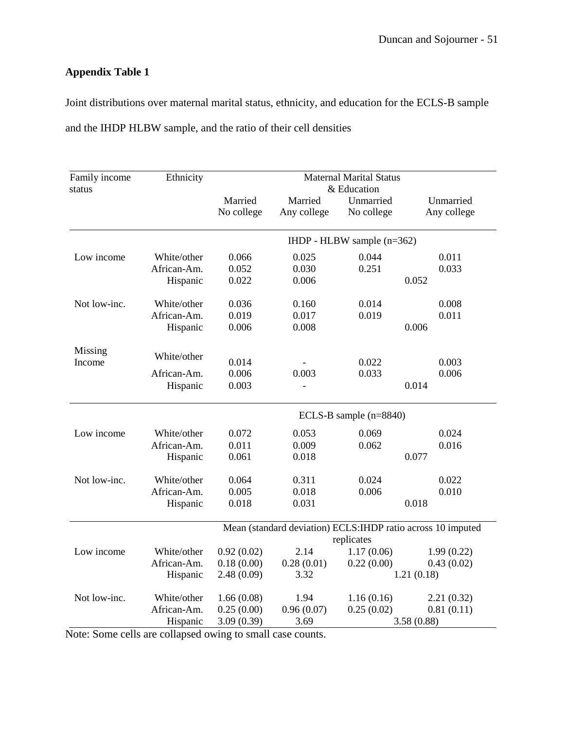Joint distributions over maternal marital status, ethnicity, and education for the ECLS-B sample and the IHDP HLBW sample, and the ratio of their cell densities

| Family income<br>status | Ethnicity   | <b>Maternal Marital Status</b><br>& Education |             |                            |                                                              |  |  |  |
|-------------------------|-------------|-----------------------------------------------|-------------|----------------------------|--------------------------------------------------------------|--|--|--|
|                         |             | Married                                       | Married     | Unmarried                  | Unmarried                                                    |  |  |  |
|                         |             | No college                                    | Any college | No college                 | Any college                                                  |  |  |  |
|                         |             |                                               |             | IHDP - HLBW sample (n=362) |                                                              |  |  |  |
| Low income              | White/other | 0.066                                         | 0.025       | 0.044                      | 0.011                                                        |  |  |  |
|                         | African-Am. | 0.052                                         | 0.030       | 0.251                      | 0.033                                                        |  |  |  |
|                         | Hispanic    | 0.022                                         | 0.006       |                            | 0.052                                                        |  |  |  |
| Not low-inc.            | White/other | 0.036                                         | 0.160       | 0.014                      | 0.008                                                        |  |  |  |
|                         | African-Am. | 0.019                                         | 0.017       | 0.019                      | 0.011                                                        |  |  |  |
|                         | Hispanic    | 0.006                                         | 0.008       |                            | 0.006                                                        |  |  |  |
| Missing<br>Income       | White/other | 0.014                                         |             | 0.022                      | 0.003                                                        |  |  |  |
|                         | African-Am. | 0.006                                         | 0.003       | 0.033                      | 0.006                                                        |  |  |  |
|                         | Hispanic    | 0.003                                         |             |                            | 0.014                                                        |  |  |  |
|                         |             |                                               |             | ECLS-B sample $(n=8840)$   |                                                              |  |  |  |
| Low income              | White/other | 0.072                                         | 0.053       | 0.069                      | 0.024                                                        |  |  |  |
|                         | African-Am. | 0.011                                         | 0.009       | 0.062                      | 0.016                                                        |  |  |  |
|                         | Hispanic    | 0.061                                         | 0.018       |                            | 0.077                                                        |  |  |  |
| Not low-inc.            | White/other | 0.064                                         | 0.311       | 0.024                      | 0.022                                                        |  |  |  |
|                         | African-Am. | 0.005                                         | 0.018       | 0.006                      | 0.010                                                        |  |  |  |
|                         | Hispanic    | 0.018                                         | 0.031       |                            | 0.018                                                        |  |  |  |
|                         |             |                                               |             |                            | Mean (standard deviation) ECLS: IHDP ratio across 10 imputed |  |  |  |
|                         |             |                                               |             | replicates                 |                                                              |  |  |  |
| Low income              | White/other | 0.92(0.02)                                    | 2.14        | 1.17(0.06)                 | 1.99(0.22)                                                   |  |  |  |
|                         | African-Am. | 0.18(0.00)                                    | 0.28(0.01)  | 0.22(0.00)                 | 0.43(0.02)                                                   |  |  |  |
|                         | Hispanic    | 2.48(0.09)                                    | 3.32        |                            | 1.21(0.18)                                                   |  |  |  |
| Not low-inc.            | White/other | 1.66(0.08)                                    | 1.94        | 1.16(0.16)                 | 2.21(0.32)                                                   |  |  |  |
|                         | African-Am. | 0.25(0.00)                                    | 0.96(0.07)  | 0.25(0.02)                 | 0.81(0.11)                                                   |  |  |  |
|                         | Hispanic    | 3.09(0.39)                                    | 3.69        |                            | 3.58(0.88)                                                   |  |  |  |

Note: Some cells are collapsed owing to small case counts.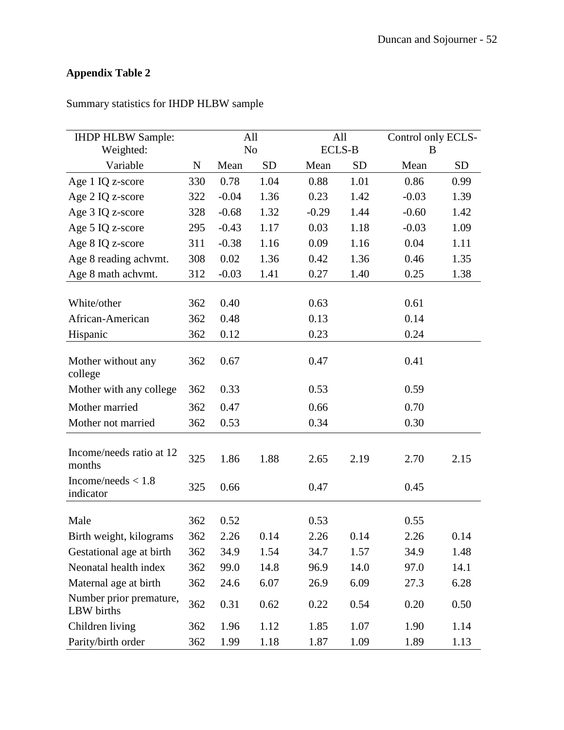| <b>IHDP HLBW Sample:</b>              |             |                | All       | All           |           | Control only ECLS- |           |
|---------------------------------------|-------------|----------------|-----------|---------------|-----------|--------------------|-----------|
| Weighted:                             |             | N <sub>o</sub> |           | <b>ECLS-B</b> |           | B                  |           |
| Variable                              | $\mathbf N$ | Mean           | <b>SD</b> | Mean          | <b>SD</b> | Mean               | <b>SD</b> |
| Age 1 IQ z-score                      | 330         | 0.78           | 1.04      | 0.88          | 1.01      | 0.86               | 0.99      |
| Age 2 IQ z-score                      | 322         | $-0.04$        | 1.36      | 0.23          | 1.42      | $-0.03$            | 1.39      |
| Age 3 IQ z-score                      | 328         | $-0.68$        | 1.32      | $-0.29$       | 1.44      | $-0.60$            | 1.42      |
| Age 5 IQ z-score                      | 295         | $-0.43$        | 1.17      | 0.03          | 1.18      | $-0.03$            | 1.09      |
| Age 8 IQ z-score                      | 311         | $-0.38$        | 1.16      | 0.09          | 1.16      | 0.04               | 1.11      |
| Age 8 reading achymt.                 | 308         | 0.02           | 1.36      | 0.42          | 1.36      | 0.46               | 1.35      |
| Age 8 math achymt.                    | 312         | $-0.03$        | 1.41      | 0.27          | 1.40      | 0.25               | 1.38      |
|                                       |             |                |           |               |           |                    |           |
| White/other                           | 362         | 0.40           |           | 0.63          |           | 0.61               |           |
| African-American                      | 362         | 0.48           |           | 0.13          |           | 0.14               |           |
| Hispanic                              | 362         | 0.12           |           | 0.23          |           | 0.24               |           |
| Mother without any<br>college         | 362         | 0.67           |           | 0.47          |           | 0.41               |           |
| Mother with any college               | 362         | 0.33           |           | 0.53          |           | 0.59               |           |
| Mother married                        | 362         | 0.47           |           | 0.66          |           | 0.70               |           |
| Mother not married                    | 362         | 0.53           |           | 0.34          |           | 0.30               |           |
| Income/needs ratio at 12<br>months    | 325         | 1.86           | 1.88      | 2.65          | 2.19      | 2.70               | 2.15      |
| Income/needs $< 1.8$<br>indicator     | 325         | 0.66           |           | 0.47          |           | 0.45               |           |
| Male                                  | 362         | 0.52           |           | 0.53          |           | 0.55               |           |
| Birth weight, kilograms               | 362         | 2.26           | 0.14      | 2.26          | 0.14      | 2.26               | 0.14      |
| Gestational age at birth              | 362         | 34.9           | 1.54      | 34.7          | 1.57      | 34.9               | 1.48      |
| Neonatal health index                 | 362         | 99.0           | 14.8      | 96.9          | 14.0      | 97.0               | 14.1      |
| Maternal age at birth                 | 362         | 24.6           | 6.07      | 26.9          | 6.09      | 27.3               | 6.28      |
| Number prior premature,<br>LBW births | 362         | 0.31           | 0.62      | 0.22          | 0.54      | 0.20               | 0.50      |
| Children living                       | 362         | 1.96           | 1.12      | 1.85          | 1.07      | 1.90               | 1.14      |
| Parity/birth order                    | 362         | 1.99           | 1.18      | 1.87          | 1.09      | 1.89               | 1.13      |

## Summary statistics for IHDP HLBW sample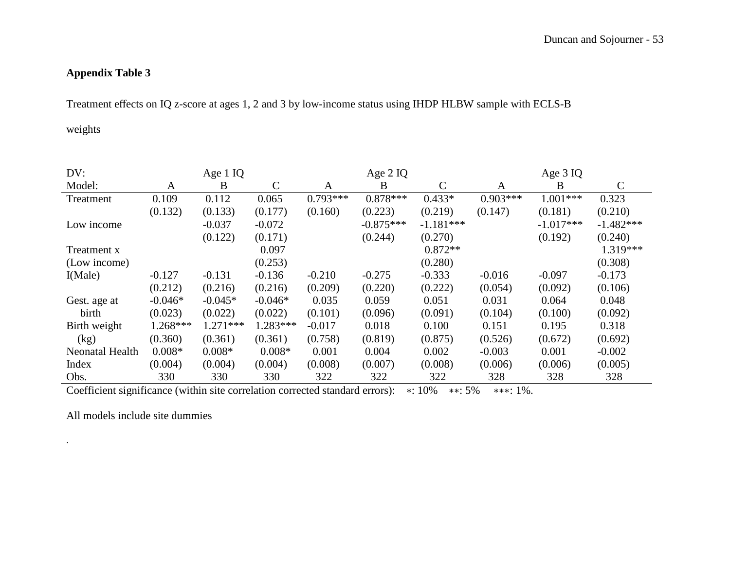Treatment effects on IQ z-score at ages 1, 2 and 3 by low-income status using IHDP HLBW sample with ECLS-B

weights

| DV:             |           | Age 1 IQ   |               |            | Age 2 IQ    |              |            | Age $3$ IQ  |              |
|-----------------|-----------|------------|---------------|------------|-------------|--------------|------------|-------------|--------------|
| Model:          | A         | B          | $\mathcal{C}$ | A          | B           | $\mathsf{C}$ | A          | B           | $\mathsf{C}$ |
| Treatment       | 0.109     | 0.112      | 0.065         | $0.793***$ | $0.878***$  | $0.433*$     | $0.903***$ | $1.001***$  | 0.323        |
|                 | (0.132)   | (0.133)    | (0.177)       | (0.160)    | (0.223)     | (0.219)      | (0.147)    | (0.181)     | (0.210)      |
| Low income      |           | $-0.037$   | $-0.072$      |            | $-0.875***$ | $-1.181***$  |            | $-1.017***$ | $-1.482***$  |
|                 |           | (0.122)    | (0.171)       |            | (0.244)     | (0.270)      |            | (0.192)     | (0.240)      |
| Treatment x     |           |            | 0.097         |            |             | $0.872**$    |            |             | 1.319***     |
| (Low income)    |           |            | (0.253)       |            |             | (0.280)      |            |             | (0.308)      |
| I(Male)         | $-0.127$  | $-0.131$   | $-0.136$      | $-0.210$   | $-0.275$    | $-0.333$     | $-0.016$   | $-0.097$    | $-0.173$     |
|                 | (0.212)   | (0.216)    | (0.216)       | (0.209)    | (0.220)     | (0.222)      | (0.054)    | (0.092)     | (0.106)      |
| Gest. age at    | $-0.046*$ | $-0.045*$  | $-0.046*$     | 0.035      | 0.059       | 0.051        | 0.031      | 0.064       | 0.048        |
| birth           | (0.023)   | (0.022)    | (0.022)       | (0.101)    | (0.096)     | (0.091)      | (0.104)    | (0.100)     | (0.092)      |
| Birth weight    | 1.268***  | $1.271***$ | $1.283***$    | $-0.017$   | 0.018       | 0.100        | 0.151      | 0.195       | 0.318        |
| (kg)            | (0.360)   | (0.361)    | (0.361)       | (0.758)    | (0.819)     | (0.875)      | (0.526)    | (0.672)     | (0.692)      |
| Neonatal Health | $0.008*$  | $0.008*$   | $0.008*$      | 0.001      | 0.004       | 0.002        | $-0.003$   | 0.001       | $-0.002$     |
| Index           | (0.004)   | (0.004)    | (0.004)       | (0.008)    | (0.007)     | (0.008)      | (0.006)    | (0.006)     | (0.005)      |
| Obs.            | 330       | 330        | 330           | 322        | 322         | 322          | 328        | 328         | 328          |

Coefficient significance (within site correlation corrected standard errors): ∗: 10% ∗∗: 5% ∗∗∗: 1%.

All models include site dummies

.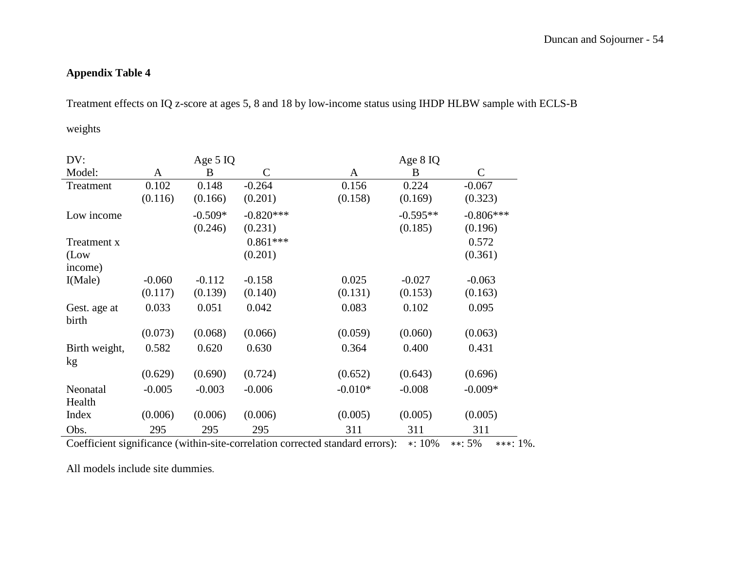Treatment effects on IQ z-score at ages 5, 8 and 18 by low-income status using IHDP HLBW sample with ECLS-B

weights

| DV:                   |          | Age $5$ IQ     |              |           | Age 8 IQ                    |              |
|-----------------------|----------|----------------|--------------|-----------|-----------------------------|--------------|
| Model:                | A        | B              | $\mathsf{C}$ | A         | B                           | $\mathsf{C}$ |
| Treatment             | 0.102    | 0.148          | $-0.264$     | 0.156     | 0.224                       | $-0.067$     |
|                       | (0.116)  | (0.166)        | (0.201)      | (0.158)   | (0.169)                     | (0.323)      |
| Low income            |          | $-0.509*$      | $-0.820***$  |           | $-0.595**$                  | $-0.806***$  |
|                       |          | (0.246)        | (0.231)      |           | (0.185)                     | (0.196)      |
| Treatment x           |          |                | $0.861***$   |           |                             | 0.572        |
| (Low                  |          |                | (0.201)      |           |                             | (0.361)      |
| income)               |          |                |              |           |                             |              |
| I(Male)               | $-0.060$ | $-0.112$       | $-0.158$     | 0.025     | $-0.027$                    | $-0.063$     |
|                       | (0.117)  | (0.139)        | (0.140)      | (0.131)   | (0.153)                     | (0.163)      |
| Gest. age at<br>birth | 0.033    | 0.051          | 0.042        | 0.083     | 0.102                       | 0.095        |
|                       | (0.073)  | (0.068)        | (0.066)      | (0.059)   | (0.060)                     | (0.063)      |
| Birth weight,         | 0.582    | 0.620          | 0.630        | 0.364     | 0.400                       | 0.431        |
| kg                    |          |                |              |           |                             |              |
|                       | (0.629)  | (0.690)        | (0.724)      | (0.652)   | (0.643)                     | (0.696)      |
| Neonatal              | $-0.005$ | $-0.003$       | $-0.006$     | $-0.010*$ | $-0.008$                    | $-0.009*$    |
| Health                |          |                |              |           |                             |              |
| Index                 | (0.006)  | (0.006)        | (0.006)      | (0.005)   | (0.005)                     | (0.005)      |
| Obs.<br>$\sim$ $\sim$ | 295      | 295<br>$\cdot$ | 295          | 311       | 311<br>$\sim$ $\sim$ $\sim$ | 311<br>$ -$  |

Coefficient significance (within-site-correlation corrected standard errors): ∗: 10% ∗∗: 5% ∗∗∗: 1%.

All models include site dummies.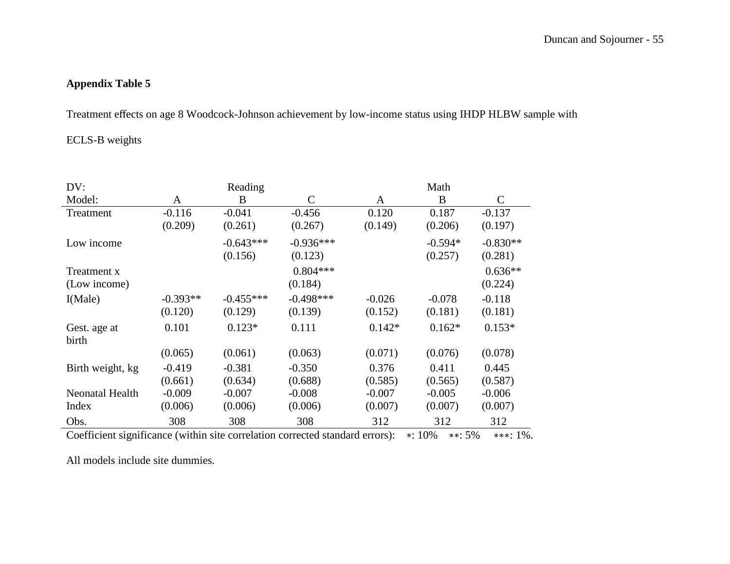Treatment effects on age 8 Woodcock-Johnson achievement by low-income status using IHDP HLBW sample with

### ECLS-B weights

| DV:              | Reading    |             |               | Math     |           |               |  |
|------------------|------------|-------------|---------------|----------|-----------|---------------|--|
| Model:           | A          | B           | $\mathcal{C}$ | A        | B         | $\mathcal{C}$ |  |
| Treatment        | $-0.116$   | $-0.041$    | $-0.456$      | 0.120    | 0.187     | $-0.137$      |  |
|                  | (0.209)    | (0.261)     | (0.267)       | (0.149)  | (0.206)   | (0.197)       |  |
| Low income       |            | $-0.643***$ | $-0.936***$   |          | $-0.594*$ | $-0.830**$    |  |
|                  |            | (0.156)     | (0.123)       |          | (0.257)   | (0.281)       |  |
| Treatment x      |            |             | $0.804***$    |          |           | $0.636**$     |  |
| (Low income)     |            |             | (0.184)       |          |           | (0.224)       |  |
| I(Male)          | $-0.393**$ | $-0.455***$ | $-0.498***$   | $-0.026$ | $-0.078$  | $-0.118$      |  |
|                  | (0.120)    | (0.129)     | (0.139)       | (0.152)  | (0.181)   | (0.181)       |  |
| Gest. age at     | 0.101      | $0.123*$    | 0.111         | $0.142*$ | $0.162*$  | $0.153*$      |  |
| birth            |            |             |               |          |           |               |  |
|                  | (0.065)    | (0.061)     | (0.063)       | (0.071)  | (0.076)   | (0.078)       |  |
| Birth weight, kg | $-0.419$   | $-0.381$    | $-0.350$      | 0.376    | 0.411     | 0.445         |  |
|                  | (0.661)    | (0.634)     | (0.688)       | (0.585)  | (0.565)   | (0.587)       |  |
| Neonatal Health  | $-0.009$   | $-0.007$    | $-0.008$      | $-0.007$ | $-0.005$  | $-0.006$      |  |
| Index            | (0.006)    | (0.006)     | (0.006)       | (0.007)  | (0.007)   | (0.007)       |  |
| Obs.             | 308        | 308         | 308           | 312      | 312       | 312           |  |

Coefficient significance (within site correlation corrected standard errors): ∗: 10% ∗∗: 5% ∗∗∗: 1%.

All models include site dummies.